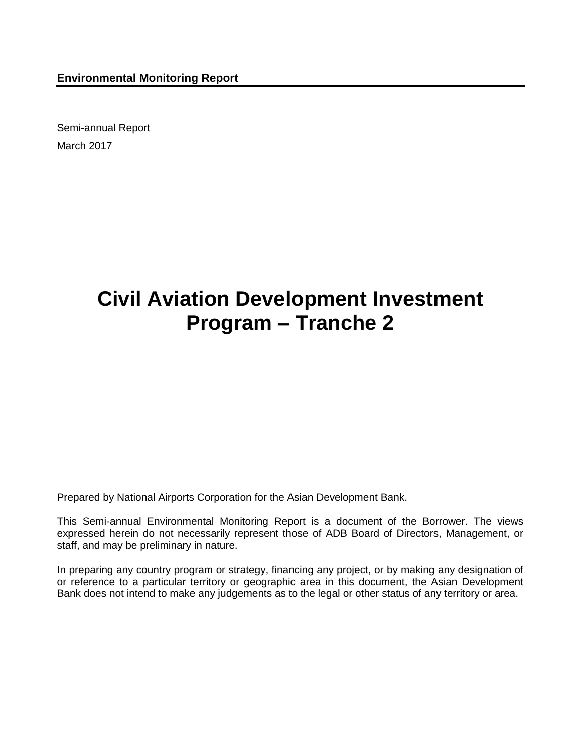Semi-annual Report March 2017

## **Civil Aviation Development Investment Program – Tranche 2**

Prepared by National Airports Corporation for the Asian Development Bank.

This Semi-annual Environmental Monitoring Report is a document of the Borrower. The views expressed herein do not necessarily represent those of ADB Board of Directors, Management, or staff, and may be preliminary in nature.

In preparing any country program or strategy, financing any project, or by making any designation of or reference to a particular territory or geographic area in this document, the Asian Development Bank does not intend to make any judgements as to the legal or other status of any territory or area.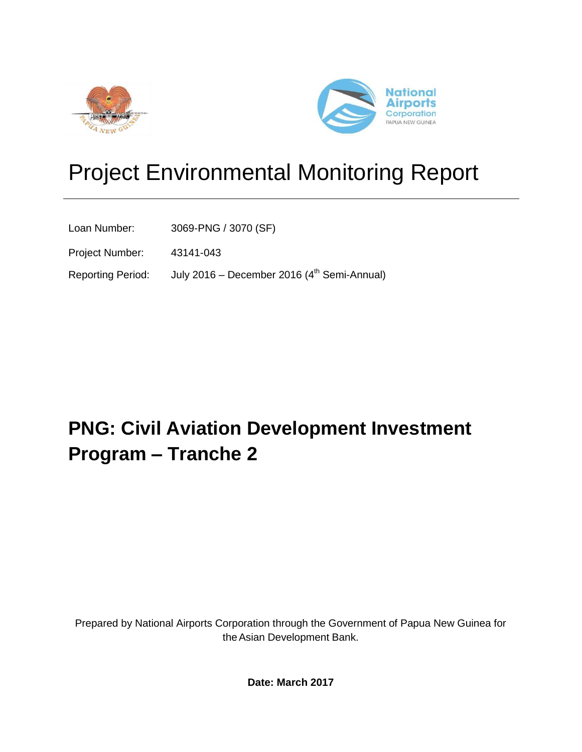



# Project Environmental Monitoring Report

Loan Number: 3069-PNG / 3070 (SF)

Project Number: 43141-043

Reporting Period: July 2016 - December 2016 (4<sup>th</sup> Semi-Annual)

## **PNG: Civil Aviation Development Investment Program – Tranche 2**

Prepared by National Airports Corporation through the Government of Papua New Guinea for theAsian Development Bank.

**Date: March 2017**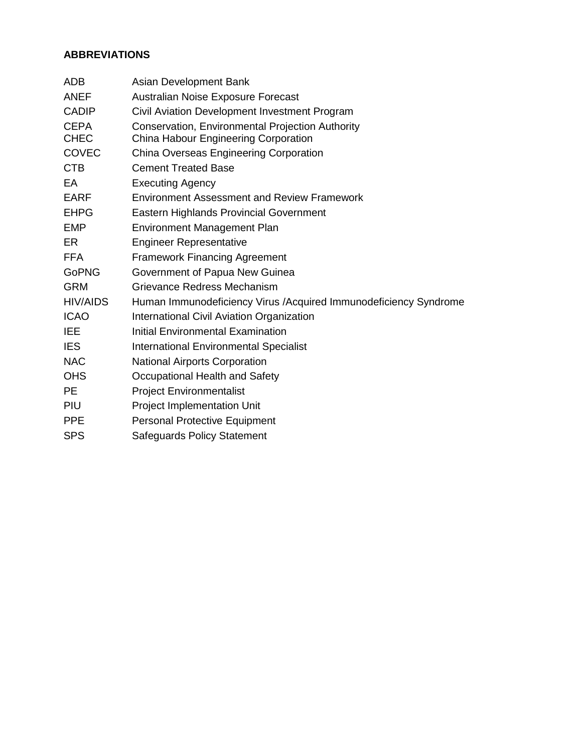## **ABBREVIATIONS**

| <b>ADB</b>      | Asian Development Bank                                            |
|-----------------|-------------------------------------------------------------------|
| <b>ANEF</b>     | Australian Noise Exposure Forecast                                |
| <b>CADIP</b>    | Civil Aviation Development Investment Program                     |
| <b>CEPA</b>     | Conservation, Environmental Projection Authority                  |
| <b>CHEC</b>     | China Habour Engineering Corporation                              |
| COVEC           | China Overseas Engineering Corporation                            |
| <b>CTB</b>      | <b>Cement Treated Base</b>                                        |
| EA              | <b>Executing Agency</b>                                           |
| <b>EARF</b>     | <b>Environment Assessment and Review Framework</b>                |
| <b>EHPG</b>     | <b>Eastern Highlands Provincial Government</b>                    |
| <b>EMP</b>      | <b>Environment Management Plan</b>                                |
| ER              | <b>Engineer Representative</b>                                    |
| <b>FFA</b>      | <b>Framework Financing Agreement</b>                              |
| <b>GoPNG</b>    | Government of Papua New Guinea                                    |
| <b>GRM</b>      | Grievance Redress Mechanism                                       |
| <b>HIV/AIDS</b> | Human Immunodeficiency Virus / Acquired Immunodeficiency Syndrome |
| <b>ICAO</b>     | International Civil Aviation Organization                         |
| <b>IEE</b>      | <b>Initial Environmental Examination</b>                          |
| <b>IES</b>      | <b>International Environmental Specialist</b>                     |
| <b>NAC</b>      | <b>National Airports Corporation</b>                              |
| <b>OHS</b>      | Occupational Health and Safety                                    |
| <b>PE</b>       | <b>Project Environmentalist</b>                                   |
| PIU             | Project Implementation Unit                                       |
| <b>PPE</b>      | <b>Personal Protective Equipment</b>                              |
| <b>SPS</b>      | <b>Safeguards Policy Statement</b>                                |
|                 |                                                                   |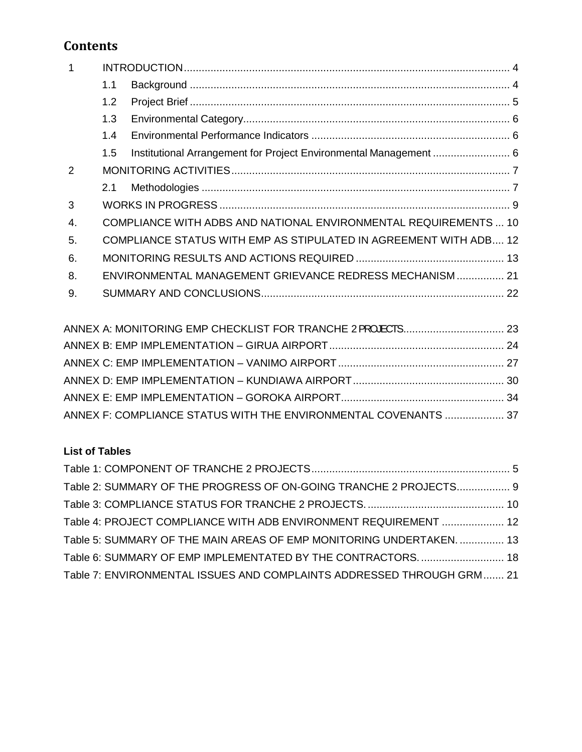## **Contents**

| $\mathbf{1}$ |     |                                                                          |  |
|--------------|-----|--------------------------------------------------------------------------|--|
|              | 1.1 |                                                                          |  |
|              | 1.2 |                                                                          |  |
|              | 1.3 |                                                                          |  |
|              | 1.4 |                                                                          |  |
|              | 1.5 | Institutional Arrangement for Project Environmental Management  6        |  |
| 2            |     |                                                                          |  |
|              | 2.1 |                                                                          |  |
| 3            |     |                                                                          |  |
| 4.           |     | COMPLIANCE WITH ADBS AND NATIONAL ENVIRONMENTAL REQUIREMENTS  10         |  |
| 5.           |     | <b>COMPLIANCE STATUS WITH EMP AS STIPULATED IN AGREEMENT WITH ADB 12</b> |  |
| 6.           |     |                                                                          |  |
| 8.           |     | ENVIRONMENTAL MANAGEMENT GRIEVANCE REDRESS MECHANISM  21                 |  |
| 9.           |     |                                                                          |  |
|              |     |                                                                          |  |

| ANNEX F: COMPLIANCE STATUS WITH THE ENVIRONMENTAL COVENANTS  37 |  |
|-----------------------------------------------------------------|--|

## **List of Tables**

| Table 2: SUMMARY OF THE PROGRESS OF ON-GOING TRANCHE 2 PROJECTS 9     |  |
|-----------------------------------------------------------------------|--|
|                                                                       |  |
| Table 4: PROJECT COMPLIANCE WITH ADB ENVIRONMENT REQUIREMENT  12      |  |
| Table 5: SUMMARY OF THE MAIN AREAS OF EMP MONITORING UNDERTAKEN.  13  |  |
| Table 6: SUMMARY OF EMP IMPLEMENTATED BY THE CONTRACTORS 18           |  |
| Table 7: ENVIRONMENTAL ISSUES AND COMPLAINTS ADDRESSED THROUGH GRM 21 |  |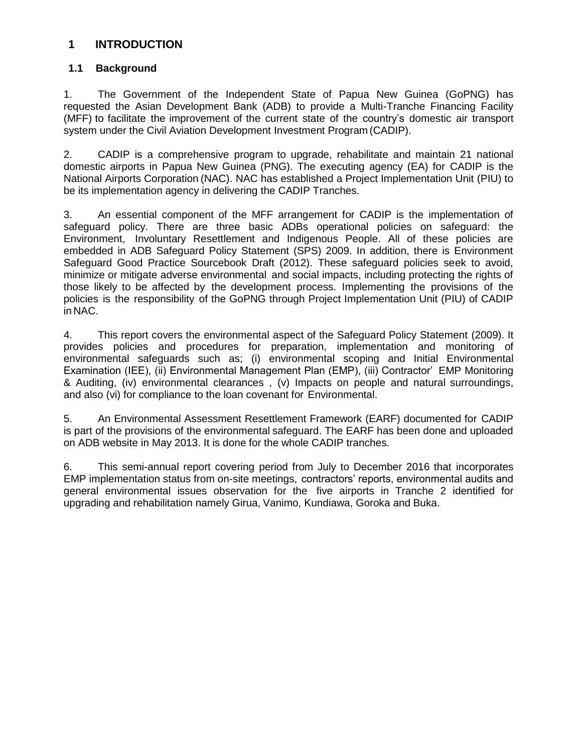## <span id="page-4-0"></span>**1 INTRODUCTION**

## <span id="page-4-1"></span>**1.1 Background**

1. The Government of the Independent State of Papua New Guinea (GoPNG) has requested the Asian Development Bank (ADB) to provide a Multi-Tranche Financing Facility (MFF) to facilitate the improvement of the current state of the country's domestic air transport system under the Civil Aviation Development Investment Program (CADIP).

2. CADIP is a comprehensive program to upgrade, rehabilitate and maintain 21 national domestic airports in Papua New Guinea (PNG). The executing agency (EA) for CADIP is the National Airports Corporation (NAC). NAC has established a Project Implementation Unit (PIU) to be its implementation agency in delivering the CADIP Tranches.

3. An essential component of the MFF arrangement for CADIP is the implementation of safeguard policy. There are three basic ADBs operational policies on safeguard: the Environment, Involuntary Resettlement and Indigenous People. All of these policies are embedded in ADB Safeguard Policy Statement (SPS) 2009. In addition, there is Environment Safeguard Good Practice Sourcebook Draft (2012). These safeguard policies seek to avoid, minimize or mitigate adverse environmental and social impacts, including protecting the rights of those likely to be affected by the development process. Implementing the provisions of the policies is the responsibility of the GoPNG through Project Implementation Unit (PIU) of CADIP in NAC.

4. This report covers the environmental aspect of the Safeguard Policy Statement (2009). It provides policies and procedures for preparation, implementation and monitoring of environmental safeguards such as; (i) environmental scoping and Initial Environmental Examination (IEE), (ii) Environmental Management Plan (EMP), (iii) Contractor' EMP Monitoring & Auditing, (iv) environmental clearances , (v) Impacts on people and natural surroundings, and also (vi) for compliance to the loan covenant for Environmental.

5. An Environmental Assessment Resettlement Framework (EARF) documented for CADIP is part of the provisions of the environmental safeguard. The EARF has been done and uploaded on ADB website in May 2013. It is done for the whole CADIP tranches.

6. This semi-annual report covering period from July to December 2016 that incorporates EMP implementation status from on-site meetings, contractors' reports, environmental audits and general environmental issues observation for the five airports in Tranche 2 identified for upgrading and rehabilitation namely Girua, Vanimo, Kundiawa, Goroka and Buka.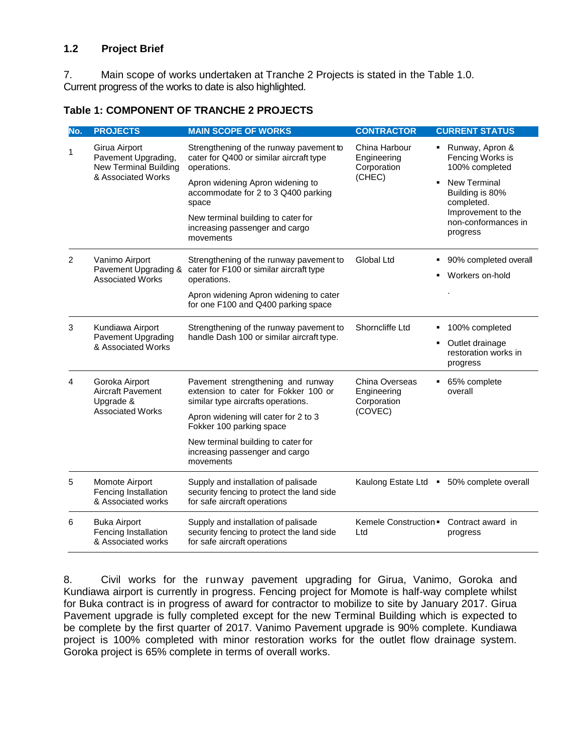### <span id="page-5-0"></span>**1.2 Project Brief**

7. Main scope of works undertaken at Tranche 2 Projects is stated in the Table 1.0. Current progress of the works to date is also highlighted.

<span id="page-5-1"></span>

|  |  |  | Table 1: COMPONENT OF TRANCHE 2 PROJECTS |  |
|--|--|--|------------------------------------------|--|
|--|--|--|------------------------------------------|--|

| No. | <b>PROJECTS</b>                                                      | <b>MAIN SCOPE OF WORKS</b>                                                                                       | <b>CONTRACTOR</b>                                             | <b>CURRENT STATUS</b>                                 |
|-----|----------------------------------------------------------------------|------------------------------------------------------------------------------------------------------------------|---------------------------------------------------------------|-------------------------------------------------------|
| 1   | Girua Airport<br>Pavement Upgrading,<br><b>New Terminal Building</b> | Strengthening of the runway pavement to<br>cater for Q400 or similar aircraft type<br>operations.                | China Harbour<br>$\blacksquare$<br>Engineering<br>Corporation | Runway, Apron &<br>Fencing Works is<br>100% completed |
|     | & Associated Works                                                   | Apron widening Apron widening to<br>accommodate for 2 to 3 Q400 parking<br>space                                 | (CHEC)                                                        | <b>New Terminal</b><br>Building is 80%<br>completed.  |
|     |                                                                      | New terminal building to cater for<br>increasing passenger and cargo<br>movements                                |                                                               | Improvement to the<br>non-conformances in<br>progress |
| 2   | Vanimo Airport<br>Pavement Upgrading &                               | Strengthening of the runway pavement to<br>cater for F100 or similar aircraft type                               | Global Ltd                                                    | 90% completed overall                                 |
|     | <b>Associated Works</b>                                              | operations.                                                                                                      |                                                               | Workers on-hold                                       |
|     |                                                                      | Apron widening Apron widening to cater<br>for one F100 and Q400 parking space                                    |                                                               |                                                       |
| 3   | Kundiawa Airport<br>Pavement Upgrading                               | Strengthening of the runway pavement to<br>handle Dash 100 or similar aircraft type.                             | Shorncliffe Ltd<br>٠                                          | 100% completed                                        |
|     | & Associated Works                                                   |                                                                                                                  | ٠                                                             | Outlet drainage<br>restoration works in<br>progress   |
| 4   | Goroka Airport<br>Aircraft Pavement<br>Upgrade &                     | Pavement strengthening and runway<br>extension to cater for Fokker 100 or<br>similar type aircrafts operations.  | China Overseas<br>٠<br>Engineering<br>Corporation             | 65% complete<br>overall                               |
|     | <b>Associated Works</b>                                              | Apron widening will cater for 2 to 3<br>Fokker 100 parking space                                                 | (COVEC)                                                       |                                                       |
|     |                                                                      | New terminal building to cater for<br>increasing passenger and cargo<br>movements                                |                                                               |                                                       |
| 5   | Momote Airport<br>Fencing Installation<br>& Associated works         | Supply and installation of palisade<br>security fencing to protect the land side<br>for safe aircraft operations | Kaulong Estate Ltd                                            | • 50% complete overall                                |
| 6   | <b>Buka Airport</b><br>Fencing Installation<br>& Associated works    | Supply and installation of palisade<br>security fencing to protect the land side<br>for safe aircraft operations | Kemele Construction .<br>Ltd                                  | Contract award in<br>progress                         |

8. Civil works for the runway pavement upgrading for Girua, Vanimo, Goroka and Kundiawa airport is currently in progress. Fencing project for Momote is half-way complete whilst for Buka contract is in progress of award for contractor to mobilize to site by January 2017. Girua Pavement upgrade is fully completed except for the new Terminal Building which is expected to be complete by the first quarter of 2017. Vanimo Pavement upgrade is 90% complete. Kundiawa project is 100% completed with minor restoration works for the outlet flow drainage system. Goroka project is 65% complete in terms of overall works.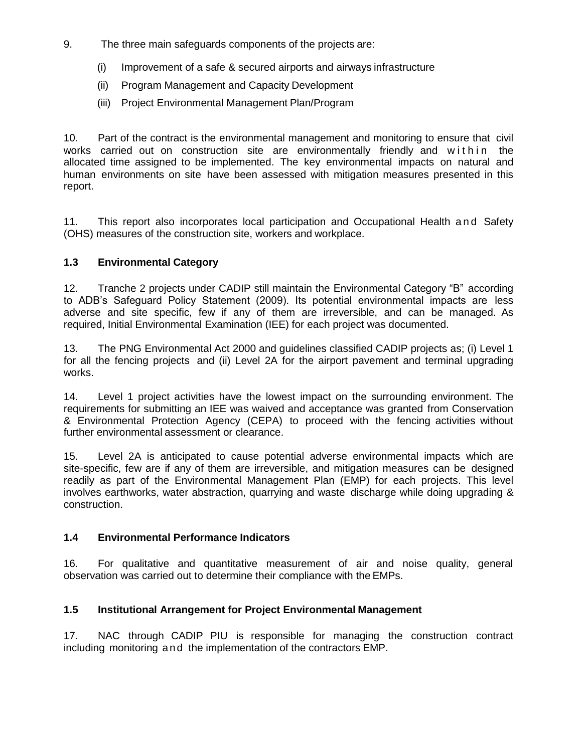- 9. The three main safeguards components of the projects are:
	- (i) Improvement of a safe & secured airports and airways infrastructure
	- (ii) Program Management and Capacity Development
	- (iii) Project Environmental Management Plan/Program

10. Part of the contract is the environmental management and monitoring to ensure that civil works carried out on construction site are environmentally friendly and within the allocated time assigned to be implemented. The key environmental impacts on natural and human environments on site have been assessed with mitigation measures presented in this report.

11. This report also incorporates local participation and Occupational Health and Safety (OHS) measures of the construction site, workers and workplace.

## <span id="page-6-0"></span>**1.3 Environmental Category**

12. Tranche 2 projects under CADIP still maintain the Environmental Category "B" according to ADB's Safeguard Policy Statement (2009). Its potential environmental impacts are less adverse and site specific, few if any of them are irreversible, and can be managed. As required, Initial Environmental Examination (IEE) for each project was documented.

13. The PNG Environmental Act 2000 and guidelines classified CADIP projects as; (i) Level 1 for all the fencing projects and (ii) Level 2A for the airport pavement and terminal upgrading works.

14. Level 1 project activities have the lowest impact on the surrounding environment. The requirements for submitting an IEE was waived and acceptance was granted from Conservation & Environmental Protection Agency (CEPA) to proceed with the fencing activities without further environmental assessment or clearance.

15. Level 2A is anticipated to cause potential adverse environmental impacts which are site-specific, few are if any of them are irreversible, and mitigation measures can be designed readily as part of the Environmental Management Plan (EMP) for each projects. This level involves earthworks, water abstraction, quarrying and waste discharge while doing upgrading & construction.

## <span id="page-6-1"></span>**1.4 Environmental Performance Indicators**

16. For qualitative and quantitative measurement of air and noise quality, general observation was carried out to determine their compliance with the EMPs.

## <span id="page-6-2"></span>**1.5 Institutional Arrangement for Project Environmental Management**

17. NAC through CADIP PIU is responsible for managing the construction contract including monitoring a nd the implementation of the contractors EMP.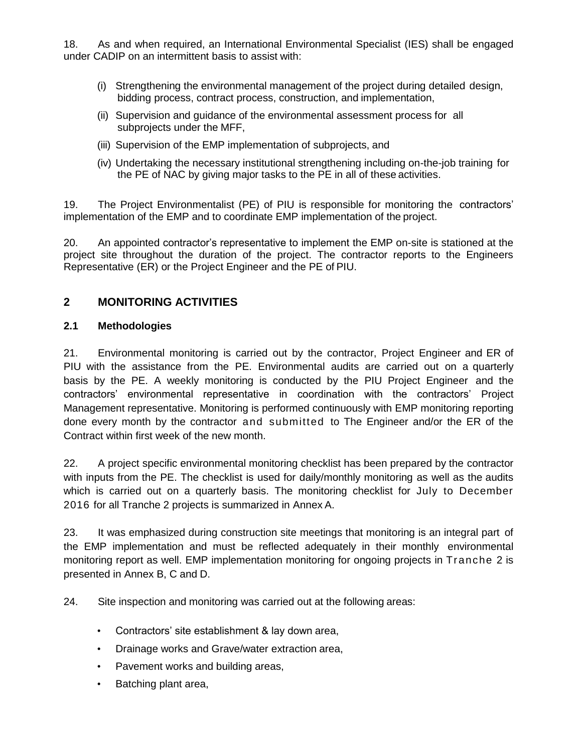18. As and when required, an International Environmental Specialist (IES) shall be engaged under CADIP on an intermittent basis to assist with:

- (i) Strengthening the environmental management of the project during detailed design, bidding process, contract process, construction, and implementation,
- (ii) Supervision and guidance of the environmental assessment process for all subprojects under the MFF,
- (iii) Supervision of the EMP implementation of subprojects, and
- (iv) Undertaking the necessary institutional strengthening including on-the-job training for the PE of NAC by giving major tasks to the PE in all of these activities.

19. The Project Environmentalist (PE) of PIU is responsible for monitoring the contractors' implementation of the EMP and to coordinate EMP implementation of the project.

20. An appointed contractor's representative to implement the EMP on-site is stationed at the project site throughout the duration of the project. The contractor reports to the Engineers Representative (ER) or the Project Engineer and the PE of PIU.

## <span id="page-7-0"></span>**2 MONITORING ACTIVITIES**

## <span id="page-7-1"></span>**2.1 Methodologies**

21. Environmental monitoring is carried out by the contractor, Project Engineer and ER of PIU with the assistance from the PE. Environmental audits are carried out on a quarterly basis by the PE. A weekly monitoring is conducted by the PIU Project Engineer and the contractors' environmental representative in coordination with the contractors' Project Management representative. Monitoring is performed continuously with EMP monitoring reporting done every month by the contractor and submitted to The Engineer and/or the ER of the Contract within first week of the new month.

22. A project specific environmental monitoring checklist has been prepared by the contractor with inputs from the PE. The checklist is used for daily/monthly monitoring as well as the audits which is carried out on a quarterly basis. The monitoring checklist for July to December 2016 for all Tranche 2 projects is summarized in Annex A.

23. It was emphasized during construction site meetings that monitoring is an integral part of the EMP implementation and must be reflected adequately in their monthly environmental monitoring report as well. EMP implementation monitoring for ongoing projects in Tranche 2 is presented in Annex B, C and D.

24. Site inspection and monitoring was carried out at the following areas:

- Contractors' site establishment & lay down area,
- Drainage works and Grave/water extraction area,
- Pavement works and building areas,
- Batching plant area,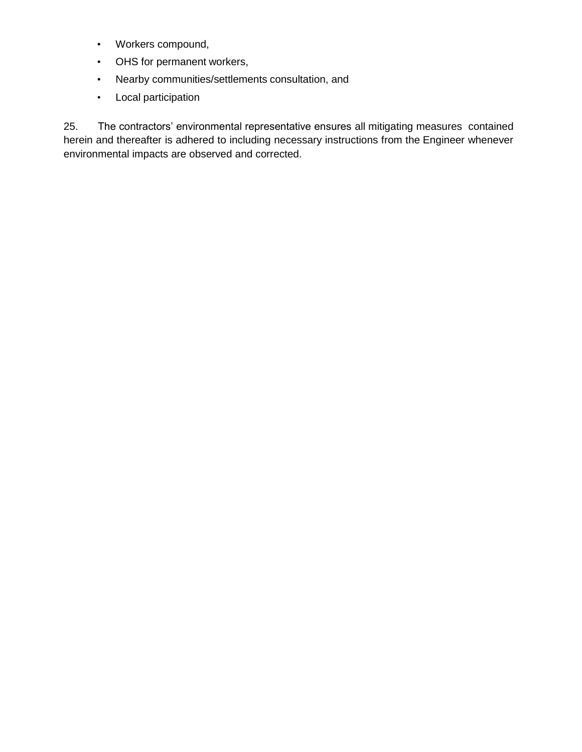- Workers compound,
- OHS for permanent workers,
- Nearby communities/settlements consultation, and
- Local participation

25. The contractors' environmental representative ensures all mitigating measures contained herein and thereafter is adhered to including necessary instructions from the Engineer whenever environmental impacts are observed and corrected.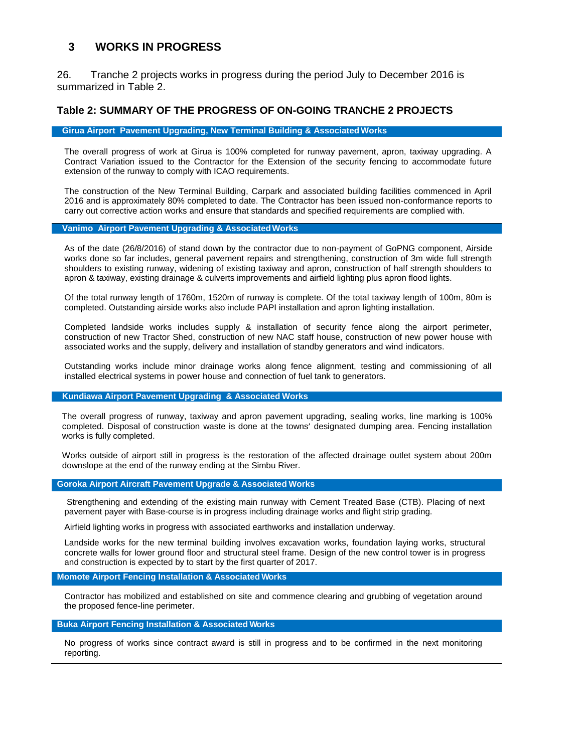## <span id="page-9-0"></span>**3 WORKS IN PROGRESS**

26. Tranche 2 projects works in progress during the period July to December 2016 is summarized in Table 2.

#### <span id="page-9-1"></span>**Table 2: SUMMARY OF THE PROGRESS OF ON-GOING TRANCHE 2 PROJECTS**

#### **Girua Airport Pavement Upgrading, New Terminal Building & Associated Works**

The overall progress of work at Girua is 100% completed for runway pavement, apron, taxiway upgrading. A Contract Variation issued to the Contractor for the Extension of the security fencing to accommodate future extension of the runway to comply with ICAO requirements.

The construction of the New Terminal Building, Carpark and associated building facilities commenced in April 2016 and is approximately 80% completed to date. The Contractor has been issued non-conformance reports to carry out corrective action works and ensure that standards and specified requirements are complied with.

#### **Vanimo Airport Pavement Upgrading & AssociatedWorks**

As of the date (26/8/2016) of stand down by the contractor due to non-payment of GoPNG component, Airside works done so far includes, general pavement repairs and strengthening, construction of 3m wide full strength shoulders to existing runway, widening of existing taxiway and apron, construction of half strength shoulders to apron & taxiway, existing drainage & culverts improvements and airfield lighting plus apron flood lights.

Of the total runway length of 1760m, 1520m of runway is complete. Of the total taxiway length of 100m, 80m is completed. Outstanding airside works also include PAPI installation and apron lighting installation.

Completed landside works includes supply & installation of security fence along the airport perimeter, construction of new Tractor Shed, construction of new NAC staff house, construction of new power house with associated works and the supply, delivery and installation of standby generators and wind indicators.

Outstanding works include minor drainage works along fence alignment, testing and commissioning of all installed electrical systems in power house and connection of fuel tank to generators.

#### **Kundiawa Airport Pavement Upgrading & Associated Works**

The overall progress of runway, taxiway and apron pavement upgrading, sealing works, line marking is 100% completed. Disposal of construction waste is done at the towns' designated dumping area. Fencing installation works is fully completed.

Works outside of airport still in progress is the restoration of the affected drainage outlet system about 200m downslope at the end of the runway ending at the Simbu River.

#### **Goroka Airport Aircraft Pavement Upgrade & Associated Works**

Strengthening and extending of the existing main runway with Cement Treated Base (CTB). Placing of next pavement payer with Base-course is in progress including drainage works and flight strip grading.

Airfield lighting works in progress with associated earthworks and installation underway.

Landside works for the new terminal building involves excavation works, foundation laying works, structural concrete walls for lower ground floor and structural steel frame. Design of the new control tower is in progress and construction is expected by to start by the first quarter of 2017.

#### **Momote Airport Fencing Installation & Associated Works**

Contractor has mobilized and established on site and commence clearing and grubbing of vegetation around the proposed fence-line perimeter.

#### **Buka Airport Fencing Installation & Associated Works**

No progress of works since contract award is still in progress and to be confirmed in the next monitoring reporting.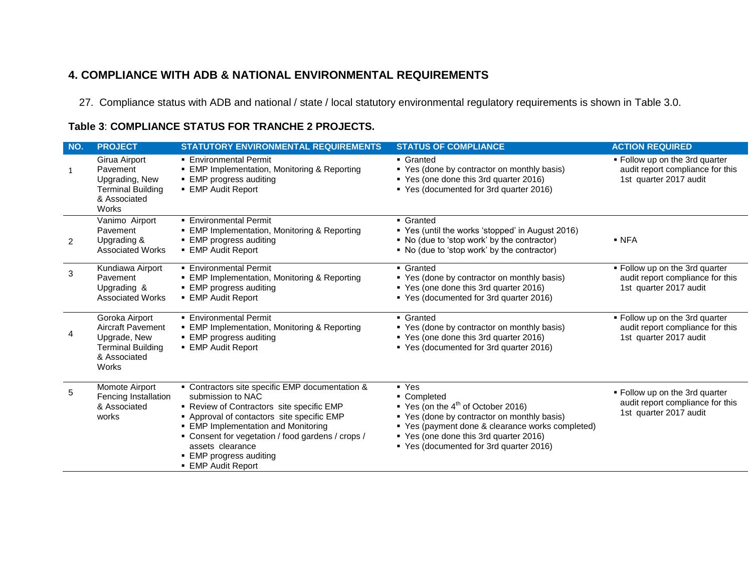## **4. COMPLIANCE WITH ADB & NATIONAL ENVIRONMENTAL REQUIREMENTS**

27. Compliance status with ADB and national / state / local statutory environmental regulatory requirements is shown in Table 3.0.

## **Table 3**: **COMPLIANCE STATUS FOR TRANCHE 2 PROJECTS.**

<span id="page-10-1"></span><span id="page-10-0"></span>

| NO.          | <b>PROJECT</b>                                                                                           | <b>STATUTORY ENVIRONMENTAL REQUIREMENTS</b>                                                                                                                                                                                                                                                                                           | <b>STATUS OF COMPLIANCE</b>                                                                                                                                                                                                                                      | <b>ACTION REQUIRED</b>                                                                       |
|--------------|----------------------------------------------------------------------------------------------------------|---------------------------------------------------------------------------------------------------------------------------------------------------------------------------------------------------------------------------------------------------------------------------------------------------------------------------------------|------------------------------------------------------------------------------------------------------------------------------------------------------------------------------------------------------------------------------------------------------------------|----------------------------------------------------------------------------------------------|
| $\mathbf{1}$ | Girua Airport<br>Pavement<br>Upgrading, New<br><b>Terminal Building</b><br>& Associated<br>Works         | <b>Environmental Permit</b><br><b>EMP Implementation, Monitoring &amp; Reporting</b><br>• EMP progress auditing<br>• EMP Audit Report                                                                                                                                                                                                 | • Granted<br>• Yes (done by contractor on monthly basis)<br>■ Yes (one done this 3rd quarter 2016)<br>■ Yes (documented for 3rd quarter 2016)                                                                                                                    | . Follow up on the 3rd quarter<br>audit report compliance for this<br>1st quarter 2017 audit |
| 2            | Vanimo Airport<br>Pavement<br>Upgrading &<br><b>Associated Works</b>                                     | • Environmental Permit<br>• EMP Implementation, Monitoring & Reporting<br>• EMP progress auditing<br><b>EMP Audit Report</b>                                                                                                                                                                                                          | • Granted<br>■ Yes (until the works 'stopped' in August 2016)<br>• No (due to 'stop work' by the contractor)<br>• No (due to 'stop work' by the contractor)                                                                                                      | $\blacksquare$ NFA                                                                           |
| 3            | Kundiawa Airport<br>Pavement<br>Upgrading &<br><b>Associated Works</b>                                   | • Environmental Permit<br>• EMP Implementation, Monitoring & Reporting<br>• EMP progress auditing<br>■ EMP Audit Report                                                                                                                                                                                                               | • Granted<br>• Yes (done by contractor on monthly basis)<br>■ Yes (one done this 3rd quarter 2016)<br>■ Yes (documented for 3rd quarter 2016)                                                                                                                    | . Follow up on the 3rd quarter<br>audit report compliance for this<br>1st quarter 2017 audit |
| 4            | Goroka Airport<br>Aircraft Pavement<br>Upgrade, New<br><b>Terminal Building</b><br>& Associated<br>Works | • Environmental Permit<br>• EMP Implementation, Monitoring & Reporting<br>• EMP progress auditing<br>■ EMP Audit Report                                                                                                                                                                                                               | • Granted<br>• Yes (done by contractor on monthly basis)<br>■ Yes (one done this 3rd quarter 2016)<br>■ Yes (documented for 3rd quarter 2016)                                                                                                                    | . Follow up on the 3rd quarter<br>audit report compliance for this<br>1st quarter 2017 audit |
| 5            | Momote Airport<br>Fencing Installation<br>& Associated<br>works                                          | • Contractors site specific EMP documentation &<br>submission to NAC<br>- Review of Contractors site specific EMP<br>- Approval of contactors site specific EMP<br>• EMP Implementation and Monitoring<br>• Consent for vegetation / food gardens / crops /<br>assets clearance<br>• EMP progress auditing<br><b>EMP Audit Report</b> | $\blacksquare$ Yes<br>• Completed<br>Yes (on the $4^{th}$ of October 2016)<br>• Yes (done by contractor on monthly basis)<br>• Yes (payment done & clearance works completed)<br>Yes (one done this 3rd quarter 2016)<br>■ Yes (documented for 3rd quarter 2016) | . Follow up on the 3rd quarter<br>audit report compliance for this<br>1st quarter 2017 audit |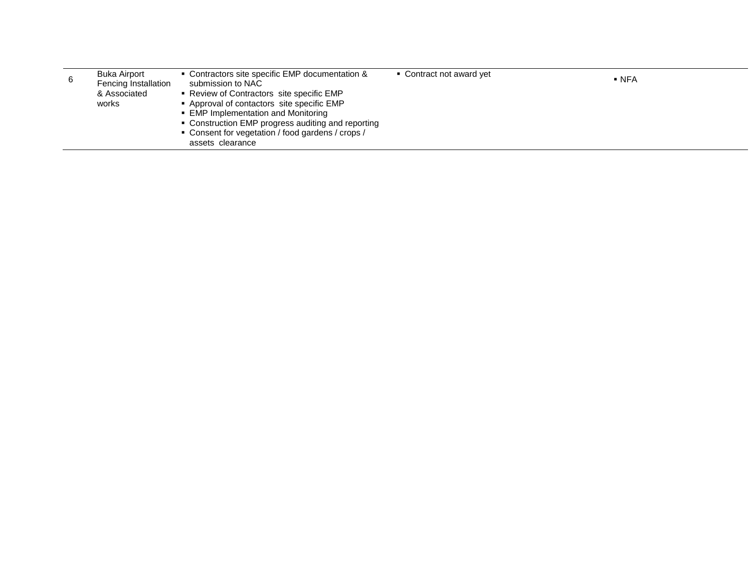|   | <b>Buka Airport</b>  | • Contractors site specific EMP documentation &    | • Contract not award yet | $\blacksquare$ NFA |
|---|----------------------|----------------------------------------------------|--------------------------|--------------------|
| 6 | Fencing Installation | submission to NAC                                  |                          |                    |
|   | & Associated         | ■ Review of Contractors site specific EMP          |                          |                    |
|   | works                | • Approval of contactors site specific EMP         |                          |                    |
|   |                      | • EMP Implementation and Monitoring                |                          |                    |
|   |                      | • Construction EMP progress auditing and reporting |                          |                    |
|   |                      | • Consent for vegetation / food gardens / crops /  |                          |                    |
|   |                      | assets clearance                                   |                          |                    |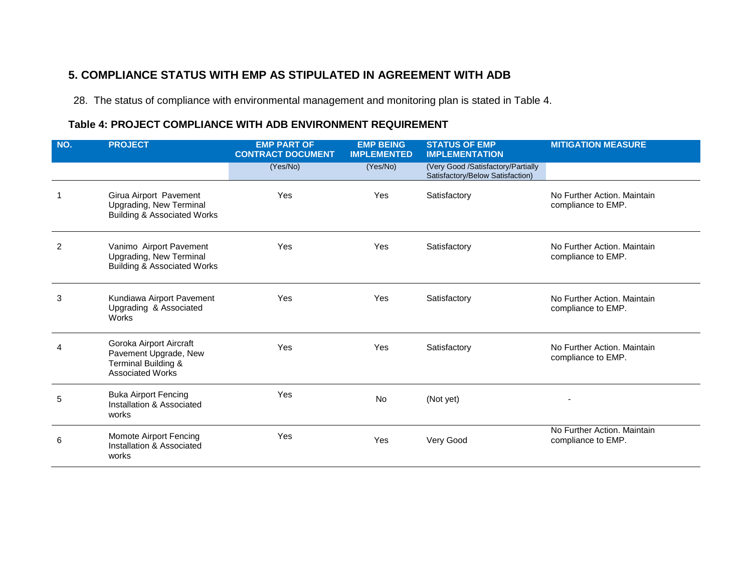## **5. COMPLIANCE STATUS WITH EMP AS STIPULATED IN AGREEMENT WITH ADB**

28. The status of compliance with environmental management and monitoring plan is stated in Table 4.

## **Table 4: PROJECT COMPLIANCE WITH ADB ENVIRONMENT REQUIREMENT**

<span id="page-12-1"></span><span id="page-12-0"></span>

| NO. | <b>PROJECT</b>                                                                                                | <b>EMP PART OF</b><br><b>CONTRACT DOCUMENT</b> | <b>EMP BEING</b><br><b>IMPLEMENTED</b> | <b>STATUS OF EMP</b><br><b>IMPLEMENTATION</b>                          | <b>MITIGATION MEASURE</b>                         |
|-----|---------------------------------------------------------------------------------------------------------------|------------------------------------------------|----------------------------------------|------------------------------------------------------------------------|---------------------------------------------------|
|     |                                                                                                               | (Yes/No)                                       | (Yes/No)                               | (Very Good /Satisfactory/Partially<br>Satisfactory/Below Satisfaction) |                                                   |
|     | Girua Airport Pavement<br>Upgrading, New Terminal<br><b>Building &amp; Associated Works</b>                   | Yes                                            | Yes                                    | Satisfactory                                                           | No Further Action, Maintain<br>compliance to EMP. |
| 2   | Vanimo Airport Pavement<br>Upgrading, New Terminal<br><b>Building &amp; Associated Works</b>                  | Yes                                            | Yes                                    | Satisfactory                                                           | No Further Action, Maintain<br>compliance to EMP. |
| 3   | Kundiawa Airport Pavement<br>Upgrading & Associated<br>Works                                                  | Yes                                            | Yes                                    | Satisfactory                                                           | No Further Action, Maintain<br>compliance to EMP. |
|     | Goroka Airport Aircraft<br>Pavement Upgrade, New<br><b>Terminal Building &amp;</b><br><b>Associated Works</b> | Yes                                            | Yes                                    | Satisfactory                                                           | No Further Action, Maintain<br>compliance to EMP. |
| 5   | <b>Buka Airport Fencing</b><br>Installation & Associated<br>works                                             | Yes                                            | <b>No</b>                              | (Not yet)                                                              |                                                   |
| 6   | Momote Airport Fencing<br>Installation & Associated<br>works                                                  | Yes                                            | Yes                                    | Very Good                                                              | No Further Action. Maintain<br>compliance to EMP. |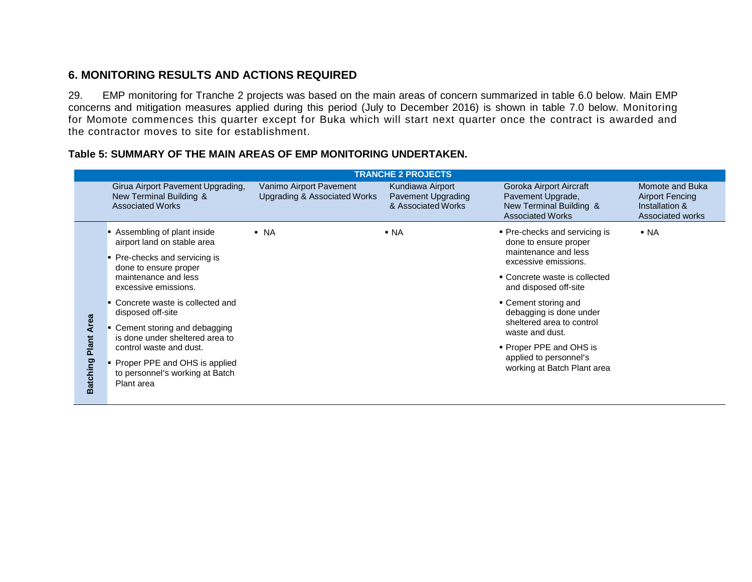## **6. MONITORING RESULTS AND ACTIONS REQUIRED**

29. EMP monitoring for Tranche 2 projects was based on the main areas of concern summarized in table 6.0 below. Main EMP concerns and mitigation measures applied during this period (July to December 2016) is shown in table 7.0 below. Monitoring for Momote commences this quarter except for Buka which will start next quarter once the contract is awarded and the contractor moves to site for establishment.

<span id="page-13-1"></span><span id="page-13-0"></span>

|                                                                                                                                                                                                                                                                                                                                                                                                                                                                                                      | <b>TRANCHE 2 PROJECTS</b>                                                               |                                                                                                        |                                                              |                                                                                                    |                                                                          |  |
|------------------------------------------------------------------------------------------------------------------------------------------------------------------------------------------------------------------------------------------------------------------------------------------------------------------------------------------------------------------------------------------------------------------------------------------------------------------------------------------------------|-----------------------------------------------------------------------------------------|--------------------------------------------------------------------------------------------------------|--------------------------------------------------------------|----------------------------------------------------------------------------------------------------|--------------------------------------------------------------------------|--|
|                                                                                                                                                                                                                                                                                                                                                                                                                                                                                                      | Girua Airport Pavement Upgrading,<br>New Terminal Building &<br><b>Associated Works</b> | Vanimo Airport Pavement<br><b>Upgrading &amp; Associated Works</b>                                     | Kundiawa Airport<br>Pavement Upgrading<br>& Associated Works | Goroka Airport Aircraft<br>Pavement Upgrade,<br>New Terminal Building &<br><b>Associated Works</b> | Momote and Buka<br>Airport Fencing<br>Installation &<br>Associated works |  |
| Assembling of plant inside<br>$\blacksquare$ NA<br>$\blacksquare$ NA<br>airport land on stable area<br>• Pre-checks and servicing is<br>done to ensure proper<br>maintenance and less<br>excessive emissions.<br>• Concrete waste is collected and<br>disposed off-site<br><b>Area</b><br>• Cement storing and debagging<br>Plant<br>is done under sheltered area to<br>control waste and dust.<br><b>Batching</b><br>Proper PPE and OHS is applied<br>to personnel's working at Batch<br>Plant area |                                                                                         | • Pre-checks and servicing is<br>done to ensure proper<br>maintenance and less<br>excessive emissions. | $\blacksquare$ NA                                            |                                                                                                    |                                                                          |  |
|                                                                                                                                                                                                                                                                                                                                                                                                                                                                                                      |                                                                                         |                                                                                                        |                                                              | • Concrete waste is collected<br>and disposed off-site                                             |                                                                          |  |
|                                                                                                                                                                                                                                                                                                                                                                                                                                                                                                      |                                                                                         |                                                                                                        |                                                              | • Cement storing and<br>debagging is done under<br>sheltered area to control                       |                                                                          |  |
|                                                                                                                                                                                                                                                                                                                                                                                                                                                                                                      |                                                                                         |                                                                                                        |                                                              | waste and dust.                                                                                    |                                                                          |  |
|                                                                                                                                                                                                                                                                                                                                                                                                                                                                                                      |                                                                                         |                                                                                                        |                                                              | • Proper PPE and OHS is<br>applied to personnel's                                                  |                                                                          |  |
|                                                                                                                                                                                                                                                                                                                                                                                                                                                                                                      |                                                                                         |                                                                                                        |                                                              | working at Batch Plant area                                                                        |                                                                          |  |

### **Table 5: SUMMARY OF THE MAIN AREAS OF EMP MONITORING UNDERTAKEN.**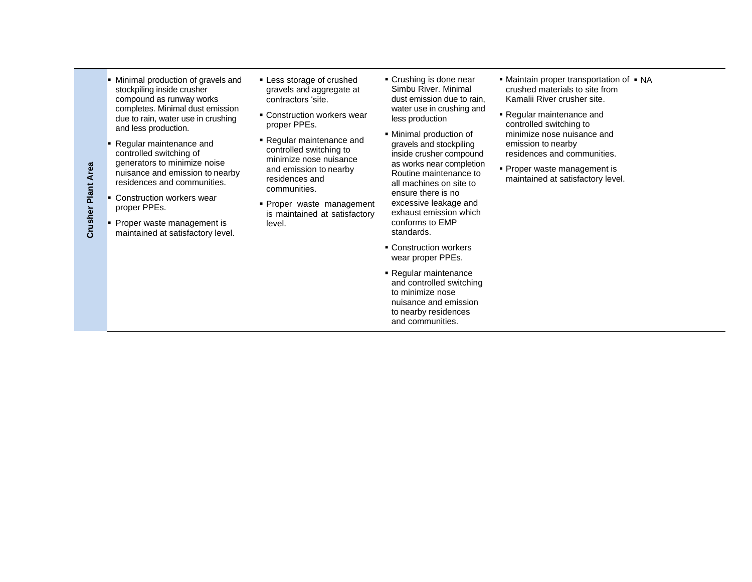- **Minimal production of gravels and** stockpiling inside crusher compound as runway works completes. Minimal dust emission due to rain, water use in crushing and less production.
- Regular maintenance and controlled switching of generators to minimize noise nuisance and emission to nearby residences and communities.
- **Construction workers wear** proper PPEs.
- Proper waste management is maintained at satisfactory level.
- **Less storage of crushed** gravels and aggregate at contractors 'site.
- **Construction workers wear** proper PPEs.
- Regular maintenance and controlled switching to minimize nose nuisance and emission to nearby residences and communities.
- **Proper waste management** is maintained at satisfactory level.
- Crushing is done near Simbu River. Minimal dust emission due to rain, water use in crushing and less production
- Minimal production of gravels and stockpiling inside crusher compound as works near completion Routine maintenance to all machines on site to ensure there is no excessive leakage and exhaust emission which conforms to EMP standards.
- **Construction workers** wear proper PPEs.
- Regular maintenance and controlled switching to minimize nose nuisance and emission to nearby residences and communities.
- Maintain proper transportation of NA crushed materials to site from Kamalii River crusher site.
- Regular maintenance and controlled switching to minimize nose nuisance and emission to nearby residences and communities.
- **Proper waste management is** maintained at satisfactory level.

**Crusher Plant Area Crusher Plant Area**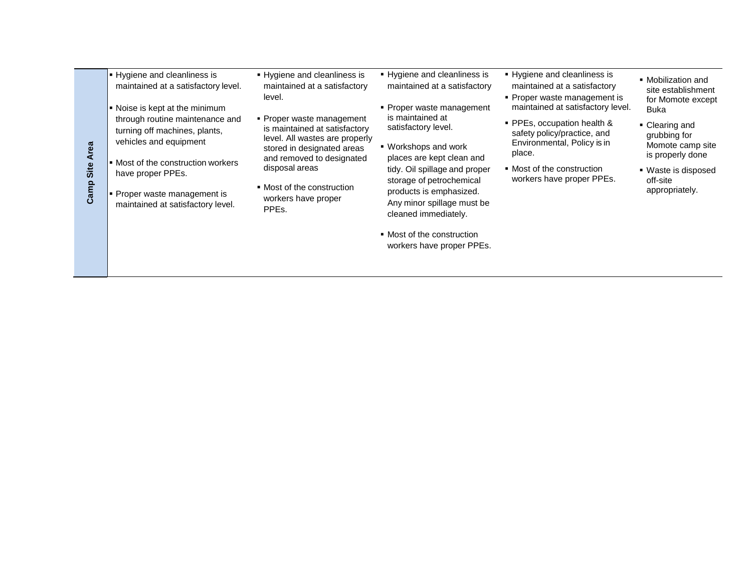- **Hygiene and cleanliness is** maintained at a satisfactory level.
- Noise is kept at the minimum through routine maintenance and turning off machines, plants, vehicles and equipment
- **Most of the construction workers** have proper PPEs.
- **Proper waste management is** maintained at satisfactory level.

**Camp Site Area**

Camp Site Area

- **Hygiene and cleanliness is** maintained at a satisfactory level.
- Proper waste management is maintained at satisfactory level. All wastes are properly stored in designated areas and removed to designated disposal areas
- Most of the construction workers have proper PPEs.
- **Hygiene and cleanliness is** maintained at a satisfactory
- **Proper waste management** is maintained at satisfactory level.
- Workshops and work places are kept clean and tidy. Oil spillage and proper storage of petrochemical products is emphasized. Any minor spillage must be cleaned immediately.
- Most of the construction workers have proper PPEs.
- Hygiene and cleanliness is maintained at a satisfactory
- **Proper waste management is** maintained at satisfactory level.
- PPEs, occupation health & safety policy/practice, and Environmental, Policy is in place.
- Most of the construction workers have proper PPEs.
- Mobilization and site establishment for Momote except Buka
- Clearing and grubbing for Momote camp site is properly done
- Waste is disposed off-site appropriately.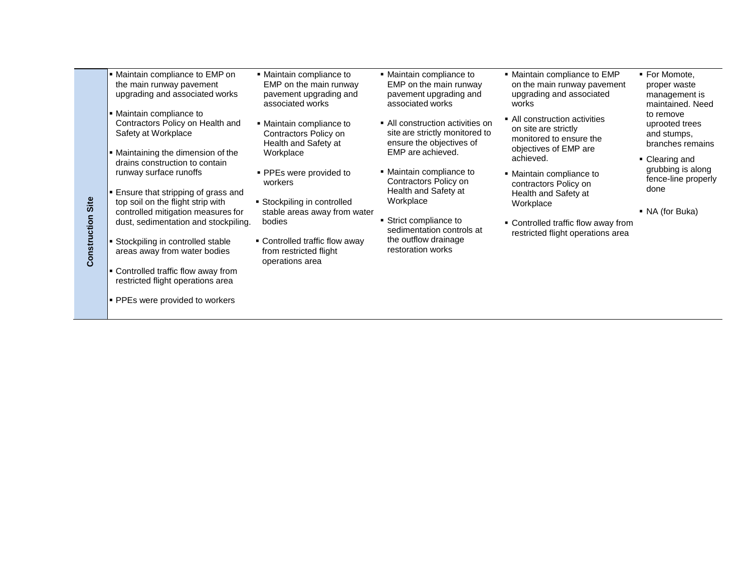- Maintain compliance to EMP on the main runway pavement upgrading and associated works
- Maintain compliance to Contractors Policy on Health and Safety at Workplace
- Maintaining the dimension of the drains construction to contain runway surface runoffs
- **Ensure that stripping of grass and** top soil on the flight strip with controlled mitigation measures for dust, sedimentation and stockpiling.
- **Stockpiling in controlled stable** areas away from water bodies

**Construction Construction Site** 

- **Controlled traffic flow away from** restricted flight operations area
- **PPEs were provided to workers**
- Maintain compliance to EMP on the main runway pavement upgrading and associated works
- Maintain compliance to Contractors Policy on Health and Safety at Workplace
- **PPEs were provided to** workers
- Stockpiling in controlled stable areas away from water bodies
- Controlled traffic flow away from restricted flight operations area
- Maintain compliance to EMP on the main runway pavement upgrading and associated works
- **All construction activities on** site are strictly monitored to ensure the objectives of EMP are achieved.
- Maintain compliance to Contractors Policy on Health and Safety at Workplace
- **Strict compliance to** sedimentation controls at the outflow drainage restoration works
- Maintain compliance to EMP on the main runway pavement upgrading and associated works
- All construction activities on site are strictly monitored to ensure the objectives of EMP are achieved.
- Maintain compliance to contractors Policy on Health and Safety at Workplace
- Controlled traffic flow away from restricted flight operations area
- **For Momote,** proper waste management is maintained. Need to remove uprooted trees and stumps, branches remains
- Clearing and grubbing is along fence-line properly done
- NA (for Buka)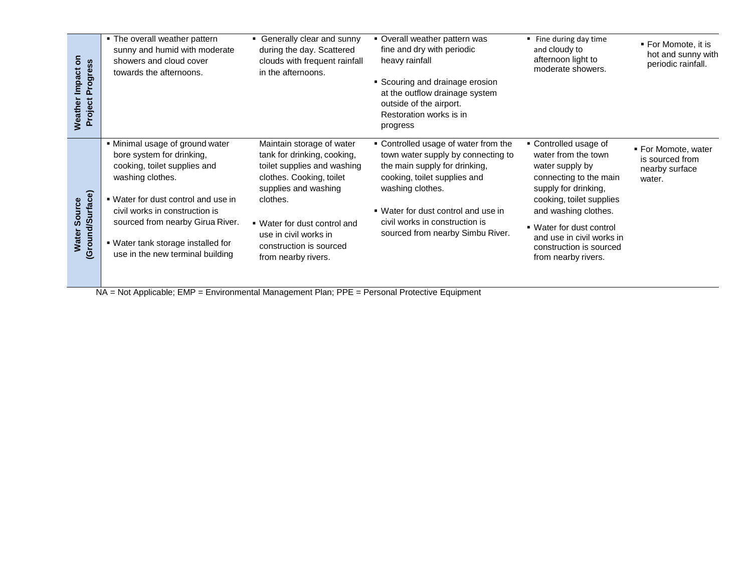| 5<br>Progress<br><b>Impact</b><br>Project I<br>Weather | • The overall weather pattern<br>sunny and humid with moderate<br>showers and cloud cover<br>towards the afternoons.                                                                                                                                                                                    | • Generally clear and sunny<br>during the day. Scattered<br>clouds with frequent rainfall<br>in the afternoons.                                                                                                                                                    | • Overall weather pattern was<br>fine and dry with periodic<br>heavy rainfall<br>• Scouring and drainage erosion<br>at the outflow drainage system<br>outside of the airport.<br>Restoration works is in<br>progress                                                         | ■ Fine during day time<br>and cloudy to<br>afternoon light to<br>moderate showers.                                                                                                                                                                                               | ■ For Momote, it is<br>hot and sunny with<br>periodic rainfall.    |
|--------------------------------------------------------|---------------------------------------------------------------------------------------------------------------------------------------------------------------------------------------------------------------------------------------------------------------------------------------------------------|--------------------------------------------------------------------------------------------------------------------------------------------------------------------------------------------------------------------------------------------------------------------|------------------------------------------------------------------------------------------------------------------------------------------------------------------------------------------------------------------------------------------------------------------------------|----------------------------------------------------------------------------------------------------------------------------------------------------------------------------------------------------------------------------------------------------------------------------------|--------------------------------------------------------------------|
| Water Source<br>(Ground/Surface)                       | . Minimal usage of ground water<br>bore system for drinking,<br>cooking, toilet supplies and<br>washing clothes.<br>. Water for dust control and use in<br>civil works in construction is<br>sourced from nearby Girua River.<br>■ Water tank storage installed for<br>use in the new terminal building | Maintain storage of water<br>tank for drinking, cooking,<br>toilet supplies and washing<br>clothes. Cooking, toilet<br>supplies and washing<br>clothes.<br>• Water for dust control and<br>use in civil works in<br>construction is sourced<br>from nearby rivers. | • Controlled usage of water from the<br>town water supply by connecting to<br>the main supply for drinking,<br>cooking, toilet supplies and<br>washing clothes.<br>• Water for dust control and use in<br>civil works in construction is<br>sourced from nearby Simbu River. | • Controlled usage of<br>water from the town<br>water supply by<br>connecting to the main<br>supply for drinking,<br>cooking, toilet supplies<br>and washing clothes.<br>• Water for dust control<br>and use in civil works in<br>construction is sourced<br>from nearby rivers. | ■ For Momote, water<br>is sourced from<br>nearby surface<br>water. |

NA = Not Applicable; EMP = Environmental Management Plan; PPE = Personal Protective Equipment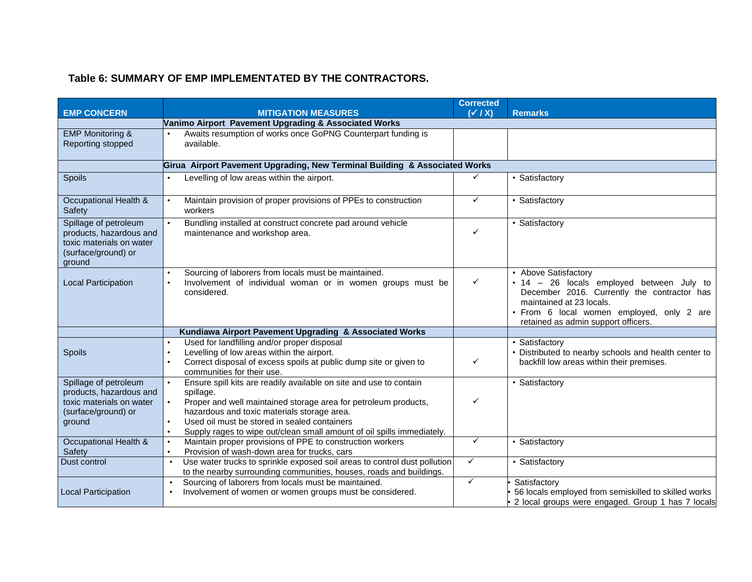## **Table 6: SUMMARY OF EMP IMPLEMENTATED BY THE CONTRACTORS.**

<span id="page-18-0"></span>

|                                                  |                                                                                           | <b>Corrected</b> |                                                                   |
|--------------------------------------------------|-------------------------------------------------------------------------------------------|------------------|-------------------------------------------------------------------|
| <b>EMP CONCERN</b>                               | <b>MITIGATION MEASURES</b>                                                                | $(\sqrt{1}X)$    | <b>Remarks</b>                                                    |
|                                                  | Vanimo Airport Pavement Upgrading & Associated Works                                      |                  |                                                                   |
| <b>EMP Monitoring &amp;</b>                      | Awaits resumption of works once GoPNG Counterpart funding is                              |                  |                                                                   |
| Reporting stopped                                | available.                                                                                |                  |                                                                   |
|                                                  |                                                                                           |                  |                                                                   |
|                                                  | Girua Airport Pavement Upgrading, New Terminal Building & Associated Works                |                  |                                                                   |
| Spoils                                           | Levelling of low areas within the airport.<br>$\bullet$                                   | ✓                | • Satisfactory                                                    |
|                                                  |                                                                                           |                  |                                                                   |
| Occupational Health &                            | Maintain provision of proper provisions of PPEs to construction                           | ✓                | · Satisfactory                                                    |
| Safety                                           | workers                                                                                   |                  |                                                                   |
| Spillage of petroleum                            | Bundling installed at construct concrete pad around vehicle                               |                  | · Satisfactory                                                    |
| products, hazardous and                          | maintenance and workshop area.                                                            | ✓                |                                                                   |
| toxic materials on water                         |                                                                                           |                  |                                                                   |
| (surface/ground) or                              |                                                                                           |                  |                                                                   |
| ground                                           |                                                                                           |                  |                                                                   |
|                                                  | Sourcing of laborers from locals must be maintained.                                      | $\checkmark$     | • Above Satisfactory<br>· 14 - 26 locals employed between July to |
| <b>Local Participation</b>                       | Involvement of individual woman or in women groups must be<br>considered.                 |                  | December 2016. Currently the contractor has                       |
|                                                  |                                                                                           |                  | maintained at 23 locals.                                          |
|                                                  |                                                                                           |                  | · From 6 local women employed, only 2 are                         |
|                                                  |                                                                                           |                  | retained as admin support officers.                               |
|                                                  | Kundiawa Airport Pavement Upgrading & Associated Works                                    |                  |                                                                   |
|                                                  | Used for landfilling and/or proper disposal                                               |                  | • Satisfactory                                                    |
| Spoils                                           | Levelling of low areas within the airport.<br>$\bullet$                                   |                  | • Distributed to nearby schools and health center to              |
|                                                  | Correct disposal of excess spoils at public dump site or given to<br>$\bullet$            | ✓                | backfill low areas within their premises.                         |
|                                                  | communities for their use.                                                                |                  |                                                                   |
| Spillage of petroleum<br>products, hazardous and | Ensure spill kits are readily available on site and use to contain                        |                  | · Satisfactory                                                    |
| toxic materials on water                         | spillage.<br>Proper and well maintained storage area for petroleum products,<br>$\bullet$ | ✓                |                                                                   |
| (surface/ground) or                              | hazardous and toxic materials storage area.                                               |                  |                                                                   |
| ground                                           | Used oil must be stored in sealed containers<br>$\bullet$                                 |                  |                                                                   |
|                                                  | Supply rages to wipe out/clean small amount of oil spills immediately.<br>$\bullet$       |                  |                                                                   |
| Occupational Health &                            | Maintain proper provisions of PPE to construction workers<br>$\bullet$                    | ✓                | • Satisfactory                                                    |
| Safety                                           | Provision of wash-down area for trucks, cars                                              |                  |                                                                   |
| Dust control                                     | Use water trucks to sprinkle exposed soil areas to control dust pollution<br>$\bullet$    | $\checkmark$     | • Satisfactory                                                    |
|                                                  | to the nearby surrounding communities, houses, roads and buildings.                       |                  |                                                                   |
|                                                  | Sourcing of laborers from locals must be maintained.<br>$\bullet$                         | ✓                | Satisfactory                                                      |
| <b>Local Participation</b>                       | Involvement of women or women groups must be considered.                                  |                  | 56 locals employed from semiskilled to skilled works              |
|                                                  |                                                                                           |                  | 2 local groups were engaged. Group 1 has 7 locals                 |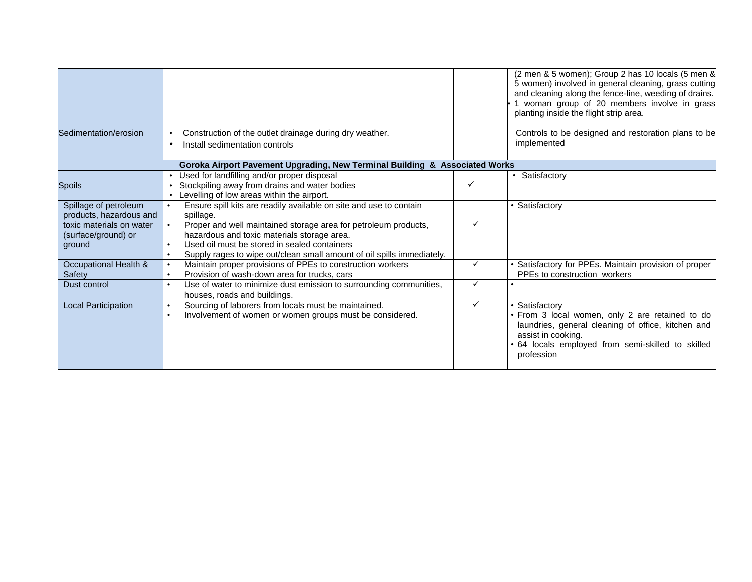|                                                           |                                                                                                                                                                                                                                                       |   | (2 men & 5 women); Group 2 has 10 locals (5 men &<br>5 women) involved in general cleaning, grass cutting<br>and cleaning along the fence-line, weeding of drains.<br>1 woman group of 20 members involve in grass<br>planting inside the flight strip area. |
|-----------------------------------------------------------|-------------------------------------------------------------------------------------------------------------------------------------------------------------------------------------------------------------------------------------------------------|---|--------------------------------------------------------------------------------------------------------------------------------------------------------------------------------------------------------------------------------------------------------------|
| Sedimentation/erosion                                     | Construction of the outlet drainage during dry weather.<br>Install sedimentation controls                                                                                                                                                             |   | Controls to be designed and restoration plans to be<br>implemented                                                                                                                                                                                           |
|                                                           | Goroka Airport Pavement Upgrading, New Terminal Building & Associated Works                                                                                                                                                                           |   |                                                                                                                                                                                                                                                              |
| Spoils                                                    | Used for landfilling and/or proper disposal<br>Stockpiling away from drains and water bodies<br>Levelling of low areas within the airport.                                                                                                            |   | • Satisfactory                                                                                                                                                                                                                                               |
| Spillage of petroleum<br>products, hazardous and          | Ensure spill kits are readily available on site and use to contain<br>spillage.                                                                                                                                                                       |   | • Satisfactory                                                                                                                                                                                                                                               |
| toxic materials on water<br>(surface/ground) or<br>ground | Proper and well maintained storage area for petroleum products,<br>hazardous and toxic materials storage area.<br>Used oil must be stored in sealed containers<br>Supply rages to wipe out/clean small amount of oil spills immediately.<br>$\bullet$ |   |                                                                                                                                                                                                                                                              |
| Occupational Health &<br>Safety                           | Maintain proper provisions of PPEs to construction workers<br>$\bullet$<br>Provision of wash-down area for trucks, cars<br>$\bullet$                                                                                                                  | ✓ | • Satisfactory for PPEs. Maintain provision of proper<br>PPEs to construction workers                                                                                                                                                                        |
| Dust control                                              | Use of water to minimize dust emission to surrounding communities,<br>houses, roads and buildings.                                                                                                                                                    | ✓ |                                                                                                                                                                                                                                                              |
| <b>Local Participation</b>                                | Sourcing of laborers from locals must be maintained.<br>Involvement of women or women groups must be considered.<br>$\bullet$                                                                                                                         | ✓ | • Satisfactory<br>• From 3 local women, only 2 are retained to do<br>laundries, general cleaning of office, kitchen and<br>assist in cooking.<br>. 64 locals employed from semi-skilled to skilled<br>profession                                             |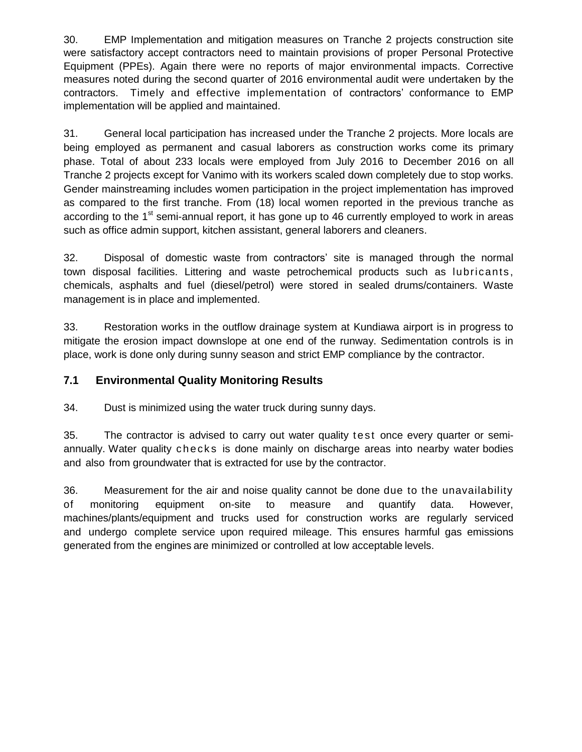30. EMP Implementation and mitigation measures on Tranche 2 projects construction site were satisfactory accept contractors need to maintain provisions of proper Personal Protective Equipment (PPEs). Again there were no reports of major environmental impacts. Corrective measures noted during the second quarter of 2016 environmental audit were undertaken by the contractors. Timely and effective implementation of contractors' conformance to EMP implementation will be applied and maintained.

31. General local participation has increased under the Tranche 2 projects. More locals are being employed as permanent and casual laborers as construction works come its primary phase. Total of about 233 locals were employed from July 2016 to December 2016 on all Tranche 2 projects except for Vanimo with its workers scaled down completely due to stop works. Gender mainstreaming includes women participation in the project implementation has improved as compared to the first tranche. From (18) local women reported in the previous tranche as according to the 1<sup>st</sup> semi-annual report, it has gone up to 46 currently employed to work in areas such as office admin support, kitchen assistant, general laborers and cleaners.

32. Disposal of domestic waste from contractors' site is managed through the normal town disposal facilities. Littering and waste petrochemical products such as lubricants , chemicals, asphalts and fuel (diesel/petrol) were stored in sealed drums/containers. Waste management is in place and implemented.

33. Restoration works in the outflow drainage system at Kundiawa airport is in progress to mitigate the erosion impact downslope at one end of the runway. Sedimentation controls is in place, work is done only during sunny season and strict EMP compliance by the contractor.

## **7.1 Environmental Quality Monitoring Results**

34. Dust is minimized using the water truck during sunny days.

35. The contractor is advised to carry out water quality test once every quarter or semiannually. Water quality checks is done mainly on discharge areas into nearby water bodies and also from groundwater that is extracted for use by the contractor.

36. Measurement for the air and noise quality cannot be done due to the unavailability of monitoring equipment on-site to measure and quantify data. However, machines/plants/equipment and trucks used for construction works are regularly serviced and undergo complete service upon required mileage. This ensures harmful gas emissions generated from the engines are minimized or controlled at low acceptable levels.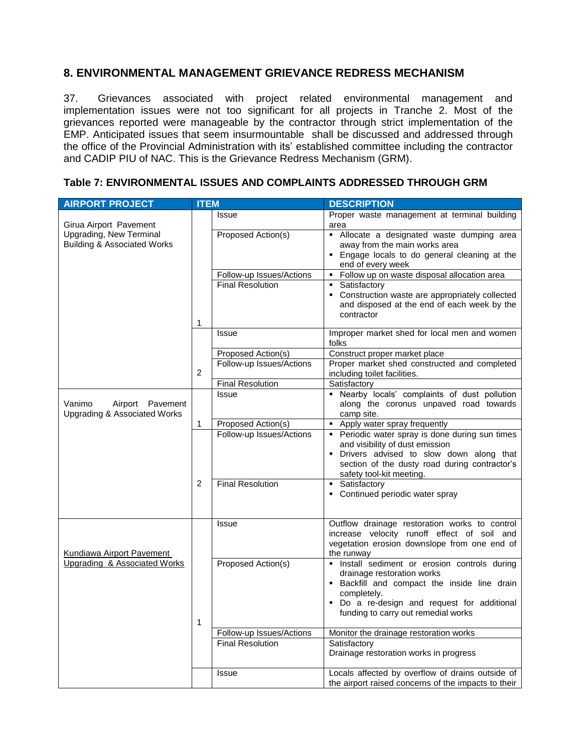## <span id="page-21-0"></span>**8. ENVIRONMENTAL MANAGEMENT GRIEVANCE REDRESS MECHANISM**

37. Grievances associated with project related environmental management and implementation issues were not too significant for all projects in Tranche 2. Most of the grievances reported were manageable by the contractor through strict implementation of the EMP. Anticipated issues that seem insurmountable shall be discussed and addressed through the office of the Provincial Administration with its' established committee including the contractor and CADIP PIU of NAC. This is the Grievance Redress Mechanism (GRM).

| <b>AIRPORT PROJECT</b>                                                | <b>ITEM</b>    |                          | <b>DESCRIPTION</b>                                                                                                                                                                                                               |
|-----------------------------------------------------------------------|----------------|--------------------------|----------------------------------------------------------------------------------------------------------------------------------------------------------------------------------------------------------------------------------|
| Girua Airport Pavement                                                |                | <b>Issue</b>             | Proper waste management at terminal building<br>area                                                                                                                                                                             |
| Upgrading, New Terminal<br><b>Building &amp; Associated Works</b>     |                | Proposed Action(s)       | · Allocate a designated waste dumping area<br>away from the main works area<br>. Engage locals to do general cleaning at the<br>end of every week                                                                                |
|                                                                       |                | Follow-up Issues/Actions | Follow up on waste disposal allocation area                                                                                                                                                                                      |
|                                                                       | 1              | <b>Final Resolution</b>  | Satisfactory<br>• Construction waste are appropriately collected<br>and disposed at the end of each week by the<br>contractor                                                                                                    |
|                                                                       |                | Issue                    | Improper market shed for local men and women<br>folks                                                                                                                                                                            |
|                                                                       |                | Proposed Action(s)       | Construct proper market place                                                                                                                                                                                                    |
|                                                                       | $\overline{c}$ | Follow-up Issues/Actions | Proper market shed constructed and completed<br>including toilet facilities.                                                                                                                                                     |
|                                                                       |                | <b>Final Resolution</b>  | Satisfactory                                                                                                                                                                                                                     |
| Vanimo<br>Airport Pavement<br><b>Upgrading &amp; Associated Works</b> |                | Issue                    | . Nearby locals' complaints of dust pollution<br>along the coronus unpaved road towards<br>camp site.                                                                                                                            |
|                                                                       | 1              | Proposed Action(s)       | • Apply water spray frequently                                                                                                                                                                                                   |
|                                                                       |                | Follow-up Issues/Actions | Periodic water spray is done during sun times<br>$\blacksquare$<br>and visibility of dust emission<br>· Drivers advised to slow down along that<br>section of the dusty road during contractor's<br>safety tool-kit meeting.     |
|                                                                       | $\overline{2}$ | <b>Final Resolution</b>  | • Satisfactory<br>• Continued periodic water spray                                                                                                                                                                               |
| <b>Kundiawa Airport Pavement</b>                                      |                | Issue                    | Outflow drainage restoration works to control<br>increase velocity runoff effect of soil and<br>vegetation erosion downslope from one end of<br>the runway                                                                       |
| <b>Upgrading &amp; Associated Works</b>                               | 1              | Proposed Action(s)       | · Install sediment or erosion controls during<br>drainage restoration works<br>· Backfill and compact the inside line drain<br>completely.<br>· Do a re-design and request for additional<br>funding to carry out remedial works |
|                                                                       |                | Follow-up Issues/Actions | Monitor the drainage restoration works                                                                                                                                                                                           |
|                                                                       |                | <b>Final Resolution</b>  | Satisfactory<br>Drainage restoration works in progress                                                                                                                                                                           |
|                                                                       |                | Issue                    | Locals affected by overflow of drains outside of<br>the airport raised concerns of the impacts to their                                                                                                                          |

#### <span id="page-21-1"></span>**Table 7: ENVIRONMENTAL ISSUES AND COMPLAINTS ADDRESSED THROUGH GRM**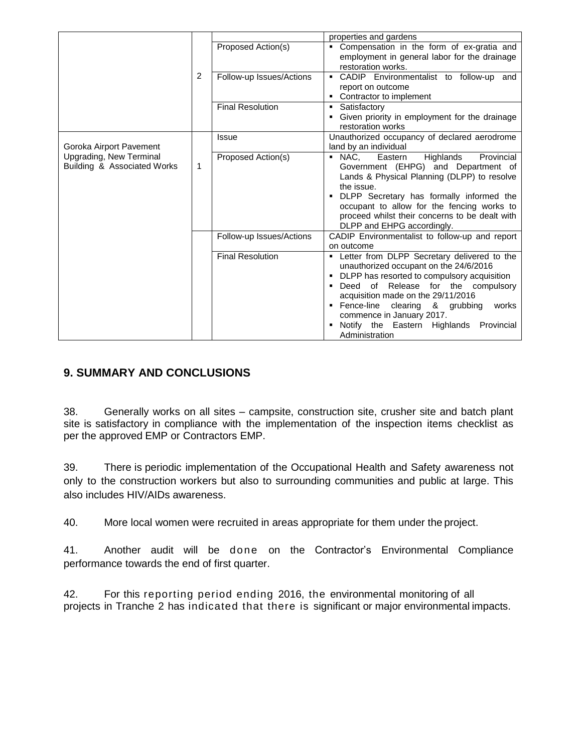|                                                        |              |                          | properties and gardens                                                                                                                                                                                                                                                                                                                                         |
|--------------------------------------------------------|--------------|--------------------------|----------------------------------------------------------------------------------------------------------------------------------------------------------------------------------------------------------------------------------------------------------------------------------------------------------------------------------------------------------------|
|                                                        |              | Proposed Action(s)       | • Compensation in the form of ex-gratia and<br>employment in general labor for the drainage<br>restoration works.                                                                                                                                                                                                                                              |
|                                                        | 2            | Follow-up Issues/Actions | • CADIP Environmentalist to follow-up and<br>report on outcome<br>Contractor to implement                                                                                                                                                                                                                                                                      |
|                                                        |              | <b>Final Resolution</b>  | • Satisfactory<br>Given priority in employment for the drainage<br>restoration works                                                                                                                                                                                                                                                                           |
| Goroka Airport Pavement                                |              | <b>Issue</b>             | Unauthorized occupancy of declared aerodrome<br>land by an individual                                                                                                                                                                                                                                                                                          |
| Upgrading, New Terminal<br>Building & Associated Works | $\mathbf{1}$ | Proposed Action(s)       | Provincial<br>$NAC$ .<br>Eastern<br>Highlands<br>Government (EHPG) and Department of<br>Lands & Physical Planning (DLPP) to resolve<br>the issue.<br>DLPP Secretary has formally informed the<br>occupant to allow for the fencing works to<br>proceed whilst their concerns to be dealt with<br>DLPP and EHPG accordingly.                                    |
|                                                        |              | Follow-up Issues/Actions | CADIP Environmentalist to follow-up and report<br>on outcome                                                                                                                                                                                                                                                                                                   |
|                                                        |              | <b>Final Resolution</b>  | • Letter from DLPP Secretary delivered to the<br>unauthorized occupant on the 24/6/2016<br>• DLPP has resorted to compulsory acquisition<br>Deed of Release for the compulsory<br>acquisition made on the 29/11/2016<br>• Fence-line clearing & grubbing<br>works<br>commence in January 2017.<br>Notify the Eastern Highlands<br>Provincial<br>Administration |

## <span id="page-22-0"></span>**9. SUMMARY AND CONCLUSIONS**

38. Generally works on all sites – campsite, construction site, crusher site and batch plant site is satisfactory in compliance with the implementation of the inspection items checklist as per the approved EMP or Contractors EMP.

39. There is periodic implementation of the Occupational Health and Safety awareness not only to the construction workers but also to surrounding communities and public at large. This also includes HIV/AIDs awareness.

40. More local women were recruited in areas appropriate for them under the project.

41. Another audit will be done on the Contractor's Environmental Compliance performance towards the end of first quarter.

42. For this reporting period ending 2016, the environmental monitoring of all projects in Tranche 2 has indicated that there is significant or major environmental impacts.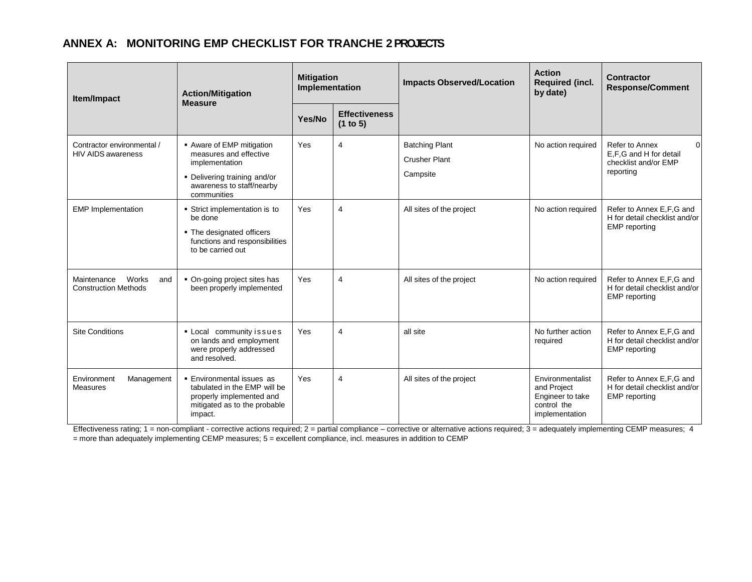## **ANNEX A: MONITORING EMP CHECKLIST FOR TRANCHE 2PROJECTS**

<span id="page-23-0"></span>

| Item/Impact                                                | <b>Action/Mitigation</b><br><b>Measure</b>                                                                                                        | <b>Mitigation</b><br>Implementation |                                  | <b>Impacts Observed/Location</b>                          | <b>Action</b><br><b>Required (incl.</b><br>by date)                                  | <b>Contractor</b><br><b>Response/Comment</b>                                              |
|------------------------------------------------------------|---------------------------------------------------------------------------------------------------------------------------------------------------|-------------------------------------|----------------------------------|-----------------------------------------------------------|--------------------------------------------------------------------------------------|-------------------------------------------------------------------------------------------|
|                                                            |                                                                                                                                                   | Yes/No                              | <b>Effectiveness</b><br>(1 to 5) |                                                           |                                                                                      |                                                                                           |
| Contractor environmental /<br><b>HIV AIDS awareness</b>    | • Aware of EMP mitigation<br>measures and effective<br>implementation<br>• Delivering training and/or<br>awareness to staff/nearby<br>communities | Yes                                 | 4                                | <b>Batching Plant</b><br><b>Crusher Plant</b><br>Campsite | No action required                                                                   | Refer to Annex<br>$\Omega$<br>E,F,G and H for detail<br>checklist and/or EMP<br>reporting |
| <b>EMP</b> Implementation                                  | Strict implementation is to<br>be done<br>• The designated officers<br>functions and responsibilities<br>to be carried out                        | Yes                                 | 4                                | All sites of the project                                  | No action required                                                                   | Refer to Annex E, F, G and<br>H for detail checklist and/or<br><b>EMP</b> reporting       |
| Works<br>Maintenance<br>and<br><b>Construction Methods</b> | • On-going project sites has<br>been properly implemented                                                                                         | Yes                                 | 4                                | All sites of the project                                  | No action required                                                                   | Refer to Annex E, F, G and<br>H for detail checklist and/or<br><b>EMP</b> reporting       |
| <b>Site Conditions</b>                                     | • Local community issues<br>on lands and employment<br>were properly addressed<br>and resolved.                                                   | Yes                                 | 4                                | all site                                                  | No further action<br>required                                                        | Refer to Annex E, F, G and<br>H for detail checklist and/or<br><b>EMP</b> reporting       |
| Environment<br>Management<br>Measures                      | • Environmental issues as<br>tabulated in the EMP will be<br>properly implemented and<br>mitigated as to the probable<br>impact.                  | Yes                                 | 4                                | All sites of the project                                  | Environmentalist<br>and Project<br>Engineer to take<br>control the<br>implementation | Refer to Annex E, F, G and<br>H for detail checklist and/or<br><b>EMP</b> reporting       |

Effectiveness rating; 1 = non-compliant - corrective actions required; 2 = partial compliance – corrective or alternative actions required; 3 = adequately implementing CEMP measures; 4 = more than adequately implementing CEMP measures; 5 = excellent compliance, incl. measures in addition to CEMP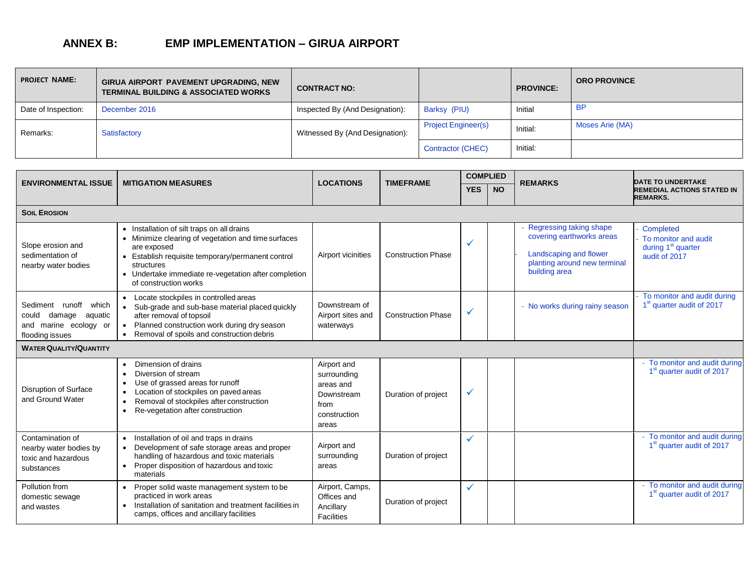## **ANNEX B: EMP IMPLEMENTATION – GIRUA AIRPORT**

| <b>PROJECT NAME:</b> | GIRUA AIRPORT PAVEMENT UPGRADING, NEW<br><b>TERMINAL BUILDING &amp; ASSOCIATED WORKS</b> | <b>CONTRACT NO:</b>             |                            | <b>PROVINCE:</b> | <b>ORO PROVINCE</b> |
|----------------------|------------------------------------------------------------------------------------------|---------------------------------|----------------------------|------------------|---------------------|
| Date of Inspection:  | December 2016                                                                            | Inspected By (And Designation): | Barksy (PIU)               | Initial          | <b>BP</b>           |
| Remarks:             | Satisfactory                                                                             | Witnessed By (And Designation): | <b>Project Engineer(s)</b> | Initial:         | Moses Arie (MA)     |
|                      |                                                                                          |                                 | Contractor (CHEC)          | Initial:         |                     |

<span id="page-24-0"></span>

|                                                                                                 |                                                                                                                                                                                                                                                                      | <b>LOCATIONS</b>                                                                       | <b>TIMEFRAME</b>          |            | <b>COMPLIED</b> |                                                                                                                                 |                                                                                      |
|-------------------------------------------------------------------------------------------------|----------------------------------------------------------------------------------------------------------------------------------------------------------------------------------------------------------------------------------------------------------------------|----------------------------------------------------------------------------------------|---------------------------|------------|-----------------|---------------------------------------------------------------------------------------------------------------------------------|--------------------------------------------------------------------------------------|
| <b>ENVIRONMENTAL ISSUE</b>                                                                      | <b>MITIGATION MEASURES</b>                                                                                                                                                                                                                                           |                                                                                        |                           | <b>YES</b> | <b>NO</b>       | <b>REMARKS</b>                                                                                                                  | <b>DATE TO UNDERTAKE</b><br><b>REMEDIAL ACTIONS STATED IN</b><br><b>REMARKS.</b>     |
| <b>SOIL EROSION</b>                                                                             |                                                                                                                                                                                                                                                                      |                                                                                        |                           |            |                 |                                                                                                                                 |                                                                                      |
| Slope erosion and<br>sedimentation of<br>nearby water bodies                                    | • Installation of silt traps on all drains<br>• Minimize clearing of vegetation and time surfaces<br>are exposed<br>• Establish requisite temporary/permanent control<br>structures<br>• Undertake immediate re-vegetation after completion<br>of construction works | Airport vicinities                                                                     | <b>Construction Phase</b> | ✓          |                 | Regressing taking shape<br>covering earthworks areas<br>Landscaping and flower<br>planting around new terminal<br>building area | Completed<br>To monitor and audit<br>during 1 <sup>st</sup> quarter<br>audit of 2017 |
| Sediment runoff<br>which<br>damage aquatic<br>could<br>and marine ecology or<br>flooding issues | • Locate stockpiles in controlled areas<br>• Sub-grade and sub-base material placed quickly<br>after removal of topsoil<br>Planned construction work during dry season<br>$\bullet$<br>Removal of spoils and construction debris                                     | Downstream of<br>Airport sites and<br>waterways                                        | <b>Construction Phase</b> | ✓          |                 | - No works during rainy season                                                                                                  | To monitor and audit during<br>1 <sup>st</sup> quarter audit of 2017                 |
| <b>WATER QUALITY/QUANTITY</b>                                                                   |                                                                                                                                                                                                                                                                      |                                                                                        |                           |            |                 |                                                                                                                                 |                                                                                      |
| Disruption of Surface<br>and Ground Water                                                       | Dimension of drains<br>Diversion of stream<br>Use of grassed areas for runoff<br>Location of stockpiles on paved areas<br>Removal of stockpiles after construction<br>Re-vegetation after construction                                                               | Airport and<br>surrounding<br>areas and<br>Downstream<br>from<br>construction<br>areas | Duration of project       | ✓          |                 |                                                                                                                                 | - To monitor and audit during<br>1 <sup>st</sup> quarter audit of 2017               |
| Contamination of<br>nearby water bodies by<br>toxic and hazardous<br>substances                 | Installation of oil and traps in drains<br>$\bullet$<br>Development of safe storage areas and proper<br>$\bullet$<br>handling of hazardous and toxic materials<br>Proper disposition of hazardous and toxic<br>$\bullet$<br>materials                                | Airport and<br>surrounding<br>areas                                                    | Duration of project       |            |                 |                                                                                                                                 | - To monitor and audit during<br>1 <sup>st</sup> quarter audit of 2017               |
| Pollution from<br>domestic sewage<br>and wastes                                                 | Proper solid waste management system to be<br>practiced in work areas<br>Installation of sanitation and treatment facilities in<br>camps, offices and ancillary facilities                                                                                           | Airport, Camps,<br>Offices and<br>Ancillary<br>Facilities                              | Duration of project       | ✓          |                 |                                                                                                                                 | To monitor and audit during<br>1 <sup>st</sup> quarter audit of 2017                 |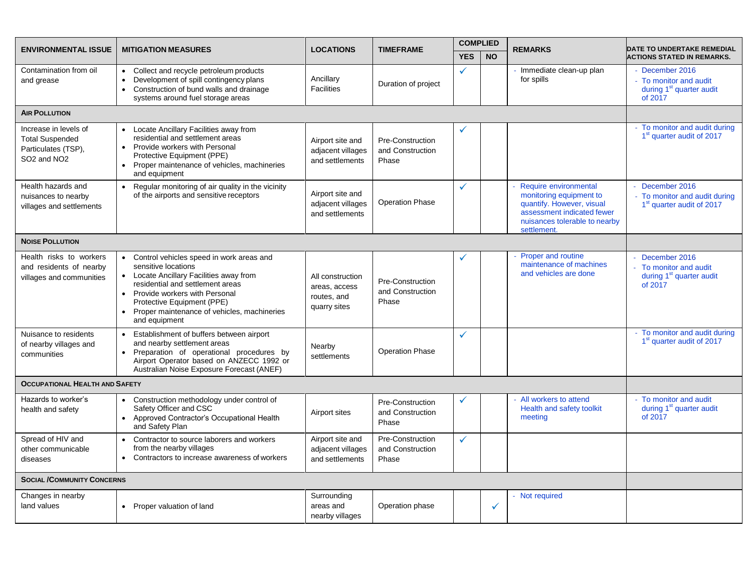| <b>ENVIRONMENTAL ISSUE</b>                                                                                    | <b>MITIGATION MEASURES</b>                                                                                                                                                                                                                                                          | <b>LOCATIONS</b>                                                 | <b>TIMEFRAME</b>                              | <b>COMPLIED</b> |           | <b>REMARKS</b>                                                                                                                                              | <b>DATE TO UNDERTAKE REMEDIAL</b>                                                            |
|---------------------------------------------------------------------------------------------------------------|-------------------------------------------------------------------------------------------------------------------------------------------------------------------------------------------------------------------------------------------------------------------------------------|------------------------------------------------------------------|-----------------------------------------------|-----------------|-----------|-------------------------------------------------------------------------------------------------------------------------------------------------------------|----------------------------------------------------------------------------------------------|
|                                                                                                               |                                                                                                                                                                                                                                                                                     |                                                                  |                                               | <b>YES</b>      | <b>NO</b> |                                                                                                                                                             | <b>ACTIONS STATED IN REMARKS.</b>                                                            |
| Contamination from oil<br>and grease                                                                          | • Collect and recycle petroleum products<br>Development of spill contingency plans<br>Construction of bund walls and drainage<br>$\bullet$<br>systems around fuel storage areas                                                                                                     | Ancillary<br><b>Facilities</b>                                   | Duration of project                           | $\checkmark$    |           | - Immediate clean-up plan<br>for spills                                                                                                                     | - December 2016<br>- To monitor and audit<br>during 1 <sup>st</sup> quarter audit<br>of 2017 |
| <b>AIR POLLUTION</b>                                                                                          |                                                                                                                                                                                                                                                                                     |                                                                  |                                               |                 |           |                                                                                                                                                             |                                                                                              |
| Increase in levels of<br><b>Total Suspended</b><br>Particulates (TSP),<br>SO <sub>2</sub> and NO <sub>2</sub> | Locate Ancillary Facilities away from<br>residential and settlement areas<br>Provide workers with Personal<br>Protective Equipment (PPE)<br>Proper maintenance of vehicles, machineries<br>and equipment                                                                            | Airport site and<br>adjacent villages<br>and settlements         | Pre-Construction<br>and Construction<br>Phase | ✓               |           |                                                                                                                                                             | - To monitor and audit during<br>1 <sup>st</sup> quarter audit of 2017                       |
| Health hazards and<br>nuisances to nearby<br>villages and settlements                                         | Regular monitoring of air quality in the vicinity<br>$\bullet$<br>of the airports and sensitive receptors                                                                                                                                                                           | Airport site and<br>adjacent villages<br>and settlements         | <b>Operation Phase</b>                        | ✓               |           | Require environmental<br>monitoring equipment to<br>quantify. However, visual<br>assessment indicated fewer<br>nuisances tolerable to nearby<br>settlement. | December 2016<br>- To monitor and audit during<br>1 <sup>st</sup> quarter audit of 2017      |
| <b>NOISE POLLUTION</b>                                                                                        |                                                                                                                                                                                                                                                                                     |                                                                  |                                               |                 |           |                                                                                                                                                             |                                                                                              |
| Health risks to workers<br>and residents of nearby<br>villages and communities                                | • Control vehicles speed in work areas and<br>sensitive locations<br>• Locate Ancillary Facilities away from<br>residential and settlement areas<br>• Provide workers with Personal<br>Protective Equipment (PPE)<br>• Proper maintenance of vehicles, machineries<br>and equipment | All construction<br>areas, access<br>routes, and<br>quarry sites | Pre-Construction<br>and Construction<br>Phase | ✓               |           | Proper and routine<br>maintenance of machines<br>and vehicles are done                                                                                      | December 2016<br>- To monitor and audit<br>during 1 <sup>st</sup> quarter audit<br>of 2017   |
| Nuisance to residents<br>of nearby villages and<br>communities                                                | Establishment of buffers between airport<br>$\bullet$<br>and nearby settlement areas<br>• Preparation of operational procedures by<br>Airport Operator based on ANZECC 1992 or<br>Australian Noise Exposure Forecast (ANEF)                                                         | Nearby<br>settlements                                            | <b>Operation Phase</b>                        | ✓               |           |                                                                                                                                                             | - To monitor and audit during<br>1 <sup>st</sup> quarter audit of 2017                       |
| <b>OCCUPATIONAL HEALTH AND SAFETY</b>                                                                         |                                                                                                                                                                                                                                                                                     |                                                                  |                                               |                 |           |                                                                                                                                                             |                                                                                              |
| Hazards to worker's<br>health and safety                                                                      | Construction methodology under control of<br>$\bullet$<br>Safety Officer and CSC<br>• Approved Contractor's Occupational Health<br>and Safety Plan                                                                                                                                  | Airport sites                                                    | Pre-Construction<br>and Construction<br>Phase | ✓               |           | - All workers to attend<br>Health and safety toolkit<br>meeting                                                                                             | - To monitor and audit<br>during 1 <sup>st</sup> quarter audit<br>of 2017                    |
| Spread of HIV and<br>other communicable<br>diseases                                                           | Contractor to source laborers and workers<br>$\bullet$<br>from the nearby villages<br>• Contractors to increase awareness of workers                                                                                                                                                | Airport site and<br>adjacent villages<br>and settlements         | Pre-Construction<br>and Construction<br>Phase | ✓               |           |                                                                                                                                                             |                                                                                              |
| <b>SOCIAL /COMMUNITY CONCERNS</b>                                                                             |                                                                                                                                                                                                                                                                                     |                                                                  |                                               |                 |           |                                                                                                                                                             |                                                                                              |
| Changes in nearby<br>land values                                                                              | • Proper valuation of land                                                                                                                                                                                                                                                          | Surrounding<br>areas and<br>nearby villages                      | Operation phase                               |                 | ✓         | - Not required                                                                                                                                              |                                                                                              |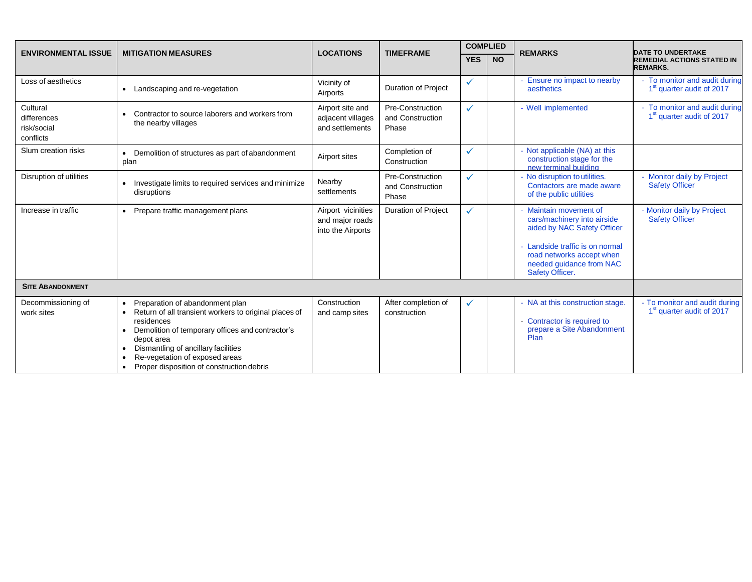|                                                     |                                                                                                                                                                                                                                                                                                |                                                            | <b>TIMEFRAME</b>                              | <b>COMPLIED</b> |           |                                                                                                                                                                                                 | <b>DATE TO UNDERTAKE</b>                                               |
|-----------------------------------------------------|------------------------------------------------------------------------------------------------------------------------------------------------------------------------------------------------------------------------------------------------------------------------------------------------|------------------------------------------------------------|-----------------------------------------------|-----------------|-----------|-------------------------------------------------------------------------------------------------------------------------------------------------------------------------------------------------|------------------------------------------------------------------------|
| <b>ENVIRONMENTAL ISSUE</b>                          | <b>MITIGATION MEASURES</b>                                                                                                                                                                                                                                                                     | <b>LOCATIONS</b>                                           |                                               | <b>YES</b>      | <b>NO</b> | <b>REMARKS</b>                                                                                                                                                                                  | <b>REMEDIAL ACTIONS STATED IN</b><br><b>REMARKS.</b>                   |
| Loss of aesthetics                                  | Landscaping and re-vegetation                                                                                                                                                                                                                                                                  | Vicinity of<br>Airports                                    | <b>Duration of Project</b>                    | ✓               |           | - Ensure no impact to nearby<br>aesthetics                                                                                                                                                      | - To monitor and audit during<br>1 <sup>st</sup> quarter audit of 2017 |
| Cultural<br>differences<br>risk/social<br>conflicts | Contractor to source laborers and workers from<br>the nearby villages                                                                                                                                                                                                                          | Airport site and<br>adjacent villages<br>and settlements   | Pre-Construction<br>and Construction<br>Phase | ✓               |           | - Well implemented                                                                                                                                                                              | - To monitor and audit during<br>1 <sup>st</sup> quarter audit of 2017 |
| Slum creation risks                                 | Demolition of structures as part of abandonment<br>plan                                                                                                                                                                                                                                        | Airport sites                                              | Completion of<br>Construction                 | $\checkmark$    |           | Not applicable (NA) at this<br>construction stage for the<br>new terminal building                                                                                                              |                                                                        |
| Disruption of utilities                             | Investigate limits to required services and minimize<br>disruptions                                                                                                                                                                                                                            | Nearby<br>settlements                                      | Pre-Construction<br>and Construction<br>Phase | $\checkmark$    |           | No disruption to utilities.<br>Contactors are made aware<br>of the public utilities                                                                                                             | - Monitor daily by Project<br><b>Safety Officer</b>                    |
| Increase in traffic                                 | Prepare traffic management plans                                                                                                                                                                                                                                                               | Airport vicinities<br>and major roads<br>into the Airports | <b>Duration of Project</b>                    | $\checkmark$    |           | Maintain movement of<br>cars/machinery into airside<br>aided by NAC Safety Officer<br>Landside traffic is on normal<br>road networks accept when<br>needed guidance from NAC<br>Safety Officer. | - Monitor daily by Project<br><b>Safety Officer</b>                    |
| <b>SITE ABANDONMENT</b>                             |                                                                                                                                                                                                                                                                                                |                                                            |                                               |                 |           |                                                                                                                                                                                                 |                                                                        |
| Decommissioning of<br>work sites                    | Preparation of abandonment plan<br>Return of all transient workers to original places of<br>residences<br>Demolition of temporary offices and contractor's<br>depot area<br>Dismantling of ancillary facilities<br>Re-vegetation of exposed areas<br>Proper disposition of construction debris | Construction<br>and camp sites                             | After completion of<br>construction           | ✓               |           | - NA at this construction stage.<br>Contractor is required to<br>prepare a Site Abandonment<br>Plan                                                                                             | - To monitor and audit during<br>1 <sup>st</sup> quarter audit of 2017 |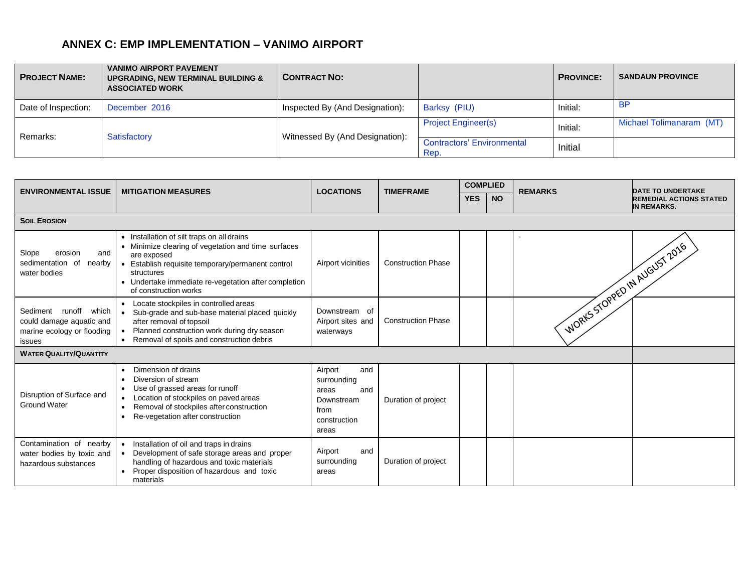## **ANNEX C: EMP IMPLEMENTATION – VANIMO AIRPORT**

| <b>PROJECT NAME:</b> | <b>VANIMO AIRPORT PAVEMENT</b><br><b>UPGRADING, NEW TERMINAL BUILDING &amp;</b><br><b>ASSOCIATED WORK</b> | <b>CONTRACT NO:</b>             |                                           | <b>PROVINCE:</b>         | <b>SANDAUN PROVINCE</b> |
|----------------------|-----------------------------------------------------------------------------------------------------------|---------------------------------|-------------------------------------------|--------------------------|-------------------------|
| Date of Inspection:  | December 2016                                                                                             | Inspected By (And Designation): | Barksy (PIU)                              | Initial:                 | <b>BP</b>               |
| Remarks:             |                                                                                                           | <b>Project Engineer(s)</b>      | Initial:                                  | Michael Tolimanaram (MT) |                         |
|                      | Satisfactory                                                                                              | Witnessed By (And Designation): | <b>Contractors' Environmental</b><br>Rep. | Initial                  |                         |

<span id="page-27-0"></span>

| <b>ENVIRONMENTAL ISSUE</b>                                                                | <b>MITIGATION MEASURES</b>                                                                                                                                                                                                                                                      | <b>LOCATIONS</b>                                                                             | <b>TIMEFRAME</b>          | <b>COMPLIED</b> |           | <b>REMARKS</b>                 | <b>DATE TO UNDERTAKE</b>                             |
|-------------------------------------------------------------------------------------------|---------------------------------------------------------------------------------------------------------------------------------------------------------------------------------------------------------------------------------------------------------------------------------|----------------------------------------------------------------------------------------------|---------------------------|-----------------|-----------|--------------------------------|------------------------------------------------------|
|                                                                                           |                                                                                                                                                                                                                                                                                 |                                                                                              |                           | <b>YES</b>      | <b>NO</b> |                                | <b>REMEDIAL ACTIONS STATED</b><br><b>IN REMARKS.</b> |
| <b>SOIL EROSION</b>                                                                       |                                                                                                                                                                                                                                                                                 |                                                                                              |                           |                 |           |                                |                                                      |
| Slope<br>erosion<br>and<br>sedimentation of<br>nearby<br>water bodies                     | • Installation of silt traps on all drains<br>• Minimize clearing of vegetation and time surfaces<br>are exposed<br>Establish requisite temporary/permanent control<br>$\bullet$<br>structures<br>• Undertake immediate re-vegetation after completion<br>of construction works | Airport vicinities                                                                           | <b>Construction Phase</b> |                 |           | I WORKS STOPPED IN AUGUST 2016 |                                                      |
| Sediment runoff which<br>could damage aquatic and<br>marine ecology or flooding<br>issues | Locate stockpiles in controlled areas<br>$\bullet$<br>Sub-grade and sub-base material placed quickly<br>$\bullet$<br>after removal of topsoil<br>Planned construction work during dry season<br>Removal of spoils and construction debris                                       | Downstream of<br>Airport sites and<br>waterways                                              | <b>Construction Phase</b> |                 |           |                                |                                                      |
| <b>WATER QUALITY/QUANTITY</b>                                                             |                                                                                                                                                                                                                                                                                 |                                                                                              |                           |                 |           |                                |                                                      |
| Disruption of Surface and<br><b>Ground Water</b>                                          | Dimension of drains<br>Diversion of stream<br>Use of grassed areas for runoff<br>Location of stockpiles on paved areas<br>Removal of stockpiles after construction<br>Re-vegetation after construction                                                                          | Airport<br>and<br>surrounding<br>and<br>areas<br>Downstream<br>from<br>construction<br>areas | Duration of project       |                 |           |                                |                                                      |
| Contamination of nearby<br>water bodies by toxic and<br>hazardous substances              | Installation of oil and traps in drains<br>$\bullet$<br>Development of safe storage areas and proper<br>handling of hazardous and toxic materials<br>Proper disposition of hazardous and toxic<br>materials                                                                     | and<br>Airport<br>surrounding<br>areas                                                       | Duration of project       |                 |           |                                |                                                      |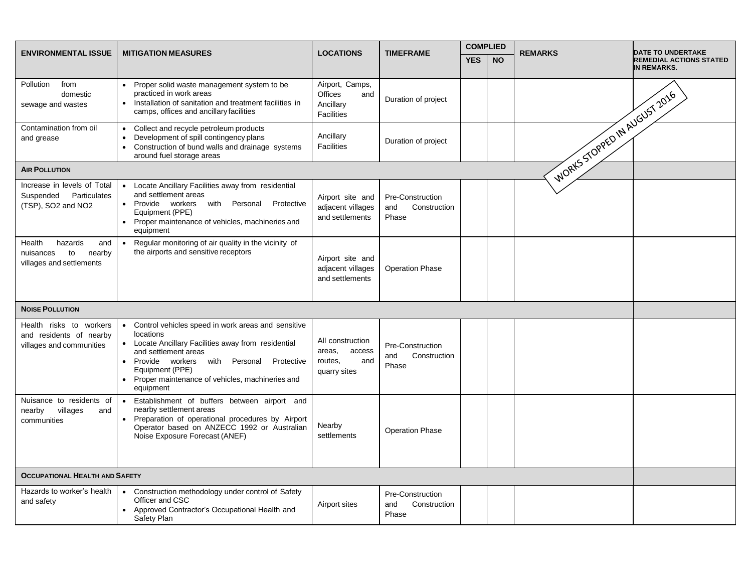| <b>ENVIRONMENTAL ISSUE</b>                                                        | <b>MITIGATION MEASURES</b>                                                                                                                                                                                                                                                                      | <b>LOCATIONS</b>                                                       | <b>TIMEFRAME</b>                                 | <b>COMPLIED</b> |           | <b>REMARKS</b>                 | <b>DATE TO UNDERTAKE</b>                             |
|-----------------------------------------------------------------------------------|-------------------------------------------------------------------------------------------------------------------------------------------------------------------------------------------------------------------------------------------------------------------------------------------------|------------------------------------------------------------------------|--------------------------------------------------|-----------------|-----------|--------------------------------|------------------------------------------------------|
|                                                                                   |                                                                                                                                                                                                                                                                                                 |                                                                        |                                                  | <b>YES</b>      | <b>NO</b> |                                | <b>REMEDIAL ACTIONS STATED</b><br><b>IN REMARKS.</b> |
| from<br>Pollution<br>domestic<br>sewage and wastes                                | Proper solid waste management system to be<br>$\bullet$<br>practiced in work areas<br>Installation of sanitation and treatment facilities in<br>$\bullet$<br>camps, offices and ancillary facilities                                                                                            | Airport, Camps,<br><b>Offices</b><br>and<br>Ancillary<br>Facilities    | Duration of project                              |                 |           | I WORKS STOPPED IN AUGUST 2016 |                                                      |
| Contamination from oil<br>and grease                                              | Collect and recycle petroleum products<br>$\bullet$<br>Development of spill contingency plans<br>Construction of bund walls and drainage systems<br>$\bullet$<br>around fuel storage areas                                                                                                      | Ancillary<br>Facilities                                                | Duration of project                              |                 |           |                                |                                                      |
| <b>AIR POLLUTION</b>                                                              |                                                                                                                                                                                                                                                                                                 |                                                                        |                                                  |                 |           |                                |                                                      |
| Increase in levels of Total<br>Suspended Particulates<br>(TSP), SO2 and NO2       | Locate Ancillary Facilities away from residential<br>$\bullet$<br>and settlement areas<br>• Provide workers with Personal<br>Protective<br>Equipment (PPE)<br>Proper maintenance of vehicles, machineries and<br>$\bullet$<br>equipment                                                         | Airport site and<br>adjacent villages<br>and settlements               | Pre-Construction<br>Construction<br>and<br>Phase |                 |           |                                |                                                      |
| Health<br>hazards<br>and<br>nuisances<br>to<br>nearby<br>villages and settlements | Regular monitoring of air quality in the vicinity of<br>$\bullet$<br>the airports and sensitive receptors                                                                                                                                                                                       | Airport site and<br>adjacent villages<br>and settlements               | <b>Operation Phase</b>                           |                 |           |                                |                                                      |
| <b>NOISE POLLUTION</b>                                                            |                                                                                                                                                                                                                                                                                                 |                                                                        |                                                  |                 |           |                                |                                                      |
| Health risks to workers<br>and residents of nearby<br>villages and communities    | Control vehicles speed in work areas and sensitive<br>$\bullet$<br>locations<br>• Locate Ancillary Facilities away from residential<br>and settlement areas<br>Provide workers with Personal<br>Protective<br>Equipment (PPE)<br>• Proper maintenance of vehicles, machineries and<br>equipment | All construction<br>access<br>areas,<br>routes,<br>and<br>quarry sites | Pre-Construction<br>Construction<br>and<br>Phase |                 |           |                                |                                                      |
| Nuisance to residents of<br>villages<br>nearby<br>and<br>communities              | Establishment of buffers between airport and<br>$\bullet$<br>nearby settlement areas<br>Preparation of operational procedures by Airport<br>Operator based on ANZECC 1992 or Australian<br>Noise Exposure Forecast (ANEF)                                                                       | Nearby<br>settlements                                                  | <b>Operation Phase</b>                           |                 |           |                                |                                                      |
| <b>OCCUPATIONAL HEALTH AND SAFETY</b>                                             |                                                                                                                                                                                                                                                                                                 |                                                                        |                                                  |                 |           |                                |                                                      |
| Hazards to worker's health<br>and safety                                          | Construction methodology under control of Safety<br>$\bullet$<br>Officer and CSC<br>Approved Contractor's Occupational Health and<br>Safety Plan                                                                                                                                                | Airport sites                                                          | Pre-Construction<br>Construction<br>and<br>Phase |                 |           |                                |                                                      |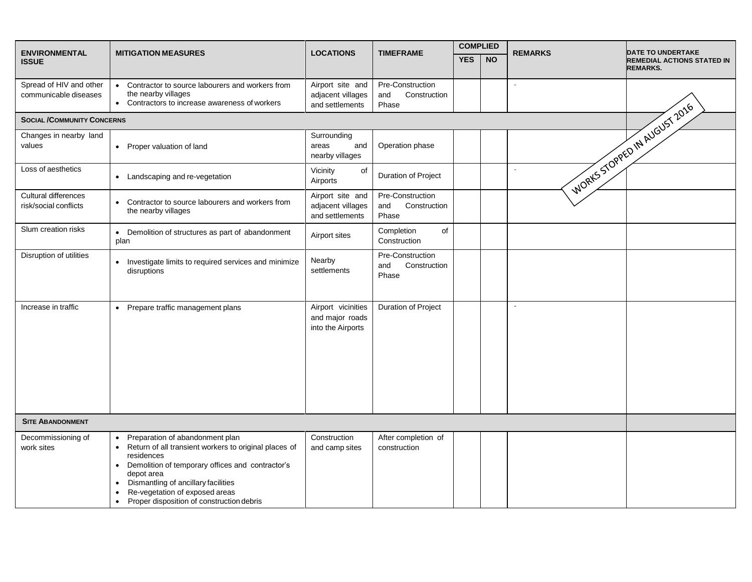| <b>ENVIRONMENTAL</b>                             | <b>MITIGATION MEASURES</b>                                                                                                                                                                                                                                                                                                 | <b>LOCATIONS</b>                                           | <b>TIMEFRAME</b>                                 | <b>COMPLIED</b> |           | <b>REMARKS</b> | <b>DATE TO UNDERTAKE</b>                             |
|--------------------------------------------------|----------------------------------------------------------------------------------------------------------------------------------------------------------------------------------------------------------------------------------------------------------------------------------------------------------------------------|------------------------------------------------------------|--------------------------------------------------|-----------------|-----------|----------------|------------------------------------------------------|
| <b>ISSUE</b>                                     |                                                                                                                                                                                                                                                                                                                            |                                                            |                                                  | <b>YES</b>      | <b>NO</b> |                | <b>REMEDIAL ACTIONS STATED IN</b><br><b>REMARKS.</b> |
| Spread of HIV and other<br>communicable diseases | Contractor to source labourers and workers from<br>$\bullet$<br>the nearby villages<br>Contractors to increase awareness of workers<br>$\bullet$                                                                                                                                                                           | Airport site and<br>adjacent villages<br>and settlements   | Pre-Construction<br>and<br>Construction<br>Phase |                 |           |                |                                                      |
| <b>SOCIAL /COMMUNITY CONCERNS</b>                |                                                                                                                                                                                                                                                                                                                            |                                                            |                                                  |                 |           |                |                                                      |
| Changes in nearby land<br>values                 | • Proper valuation of land                                                                                                                                                                                                                                                                                                 | Surrounding<br>areas<br>and<br>nearby villages             | Operation phase                                  |                 |           |                | I WORKS STOPPED IN AUGUST 2016                       |
| Loss of aesthetics                               | • Landscaping and re-vegetation                                                                                                                                                                                                                                                                                            | Vicinity<br>of<br>Airports                                 | Duration of Project                              |                 |           |                |                                                      |
| Cultural differences<br>risk/social conflicts    | Contractor to source labourers and workers from<br>$\bullet$<br>the nearby villages                                                                                                                                                                                                                                        | Airport site and<br>adjacent villages<br>and settlements   | Pre-Construction<br>Construction<br>and<br>Phase |                 |           |                |                                                      |
| Slum creation risks                              | • Demolition of structures as part of abandonment<br>plan                                                                                                                                                                                                                                                                  | Airport sites                                              | of<br>Completion<br>Construction                 |                 |           |                |                                                      |
| Disruption of utilities                          | Investigate limits to required services and minimize<br>$\bullet$<br>disruptions                                                                                                                                                                                                                                           | Nearby<br>settlements                                      | Pre-Construction<br>Construction<br>and<br>Phase |                 |           |                |                                                      |
| Increase in traffic                              | • Prepare traffic management plans                                                                                                                                                                                                                                                                                         | Airport vicinities<br>and major roads<br>into the Airports | <b>Duration of Project</b>                       |                 |           |                |                                                      |
| <b>SITE ABANDONMENT</b>                          |                                                                                                                                                                                                                                                                                                                            |                                                            |                                                  |                 |           |                |                                                      |
| Decommissioning of<br>work sites                 | Preparation of abandonment plan<br>$\bullet$<br>• Return of all transient workers to original places of<br>residences<br>Demolition of temporary offices and contractor's<br>depot area<br>Dismantling of ancillary facilities<br>Re-vegetation of exposed areas<br>Proper disposition of construction debris<br>$\bullet$ | Construction<br>and camp sites                             | After completion of<br>construction              |                 |           |                |                                                      |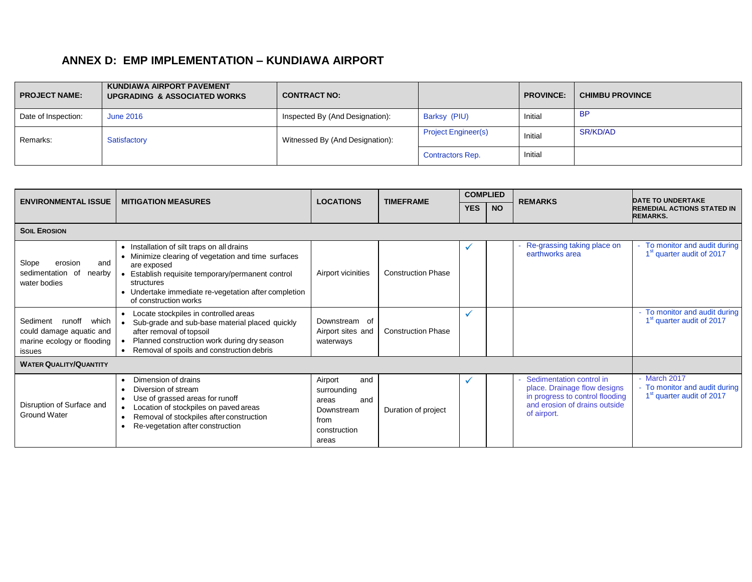## **ANNEX D: EMP IMPLEMENTATION – KUNDIAWA AIRPORT**

| <b>PROJECT NAME:</b> | <b>KUNDIAWA AIRPORT PAVEMENT</b><br><b>UPGRADING &amp; ASSOCIATED WORKS</b> | <b>CONTRACT NO:</b>             |                            | <b>PROVINCE:</b> | <b>CHIMBU PROVINCE</b> |
|----------------------|-----------------------------------------------------------------------------|---------------------------------|----------------------------|------------------|------------------------|
| Date of Inspection:  | <b>June 2016</b>                                                            | Inspected By (And Designation): | Barksy (PIU)               | Initial          | <b>BP</b>              |
| Remarks:             | Satisfactory                                                                | Witnessed By (And Designation): | <b>Project Engineer(s)</b> | Initial          | SR/KD/AD               |
|                      |                                                                             |                                 | <b>Contractors Rep.</b>    | Initial          |                        |

<span id="page-30-0"></span>

| <b>ENVIRONMENTAL ISSUE</b>                                                                   | <b>MITIGATION MEASURES</b>                                                                                                                                                                                                                                         | <b>LOCATIONS</b>                                                                             | <b>TIMEFRAME</b>          | <b>COMPLIED</b> |           | <b>REMARKS</b>                                                                                                                              | <b>DATE TO UNDERTAKE</b>                                                             |
|----------------------------------------------------------------------------------------------|--------------------------------------------------------------------------------------------------------------------------------------------------------------------------------------------------------------------------------------------------------------------|----------------------------------------------------------------------------------------------|---------------------------|-----------------|-----------|---------------------------------------------------------------------------------------------------------------------------------------------|--------------------------------------------------------------------------------------|
|                                                                                              |                                                                                                                                                                                                                                                                    |                                                                                              |                           | <b>YES</b>      | <b>NO</b> |                                                                                                                                             | <b>REMEDIAL ACTIONS STATED IN</b><br><b>REMARKS.</b>                                 |
| <b>SOIL EROSION</b>                                                                          |                                                                                                                                                                                                                                                                    |                                                                                              |                           |                 |           |                                                                                                                                             |                                                                                      |
| Slope<br>erosion<br>and<br>sedimentation of<br>nearby<br>water bodies                        | • Installation of silt traps on all drains<br>• Minimize clearing of vegetation and time surfaces<br>are exposed<br>Establish requisite temporary/permanent control<br>structures<br>• Undertake immediate re-vegetation after completion<br>of construction works | Airport vicinities                                                                           | <b>Construction Phase</b> | $\checkmark$    |           | Re-grassing taking place on<br>earthworks area                                                                                              | To monitor and audit during<br>1 <sup>st</sup> quarter audit of 2017                 |
| runoff which<br>Sediment<br>could damage aquatic and<br>marine ecology or flooding<br>issues | • Locate stockpiles in controlled areas<br>Sub-grade and sub-base material placed quickly<br>$\bullet$<br>after removal of topsoil<br>Planned construction work during dry season<br>Removal of spoils and construction debris                                     | Downstream of<br>Airport sites and<br>waterways                                              | <b>Construction Phase</b> | $\checkmark$    |           |                                                                                                                                             | - To monitor and audit during<br>1 <sup>st</sup> quarter audit of 2017               |
| <b>WATER QUALITY/QUANTITY</b>                                                                |                                                                                                                                                                                                                                                                    |                                                                                              |                           |                 |           |                                                                                                                                             |                                                                                      |
| Disruption of Surface and<br><b>Ground Water</b>                                             | Dimension of drains<br>Diversion of stream<br>Use of grassed areas for runoff<br>Location of stockpiles on paved areas<br>Removal of stockpiles after construction<br>Re-vegetation after construction                                                             | Airport<br>and<br>surrounding<br>and<br>areas<br>Downstream<br>from<br>construction<br>areas | Duration of project       | $\checkmark$    |           | Sedimentation control in<br>place. Drainage flow designs<br>in progress to control flooding<br>and erosion of drains outside<br>of airport. | March 2017<br>- To monitor and audit during<br>1 <sup>st</sup> quarter audit of 2017 |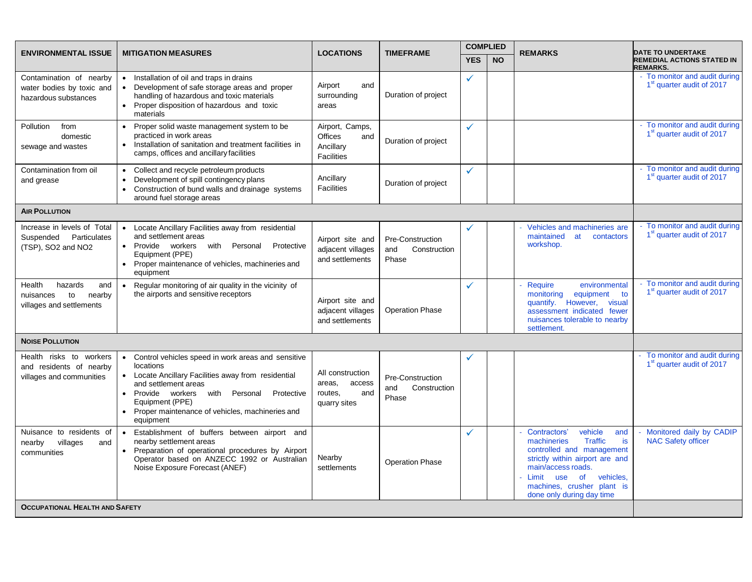|                                                                                   | <b>ENVIRONMENTAL ISSUE</b><br><b>MITIGATION MEASURES</b><br><b>LOCATIONS</b><br><b>TIMEFRAME</b>                                                                                                                                                                                    |                                                                            |                                                  | <b>COMPLIED</b> |           | <b>REMARKS</b>                                                                                                                                                                                                                                   | <b>DATE TO UNDERTAKE</b>                                               |
|-----------------------------------------------------------------------------------|-------------------------------------------------------------------------------------------------------------------------------------------------------------------------------------------------------------------------------------------------------------------------------------|----------------------------------------------------------------------------|--------------------------------------------------|-----------------|-----------|--------------------------------------------------------------------------------------------------------------------------------------------------------------------------------------------------------------------------------------------------|------------------------------------------------------------------------|
|                                                                                   |                                                                                                                                                                                                                                                                                     |                                                                            |                                                  | <b>YES</b>      | <b>NO</b> |                                                                                                                                                                                                                                                  | REMEDIAL ACTIONS STATED IN<br><b>REMARKS.</b>                          |
| Contamination of nearby<br>water bodies by toxic and<br>hazardous substances      | • Installation of oil and traps in drains<br>• Development of safe storage areas and proper<br>handling of hazardous and toxic materials<br>• Proper disposition of hazardous and toxic<br>materials                                                                                | Airport<br>and<br>surrounding<br>areas                                     | Duration of project                              | ✓               |           |                                                                                                                                                                                                                                                  | - To monitor and audit during<br>1 <sup>st</sup> quarter audit of 2017 |
| from<br>Pollution<br>domestic<br>sewage and wastes                                | • Proper solid waste management system to be<br>practiced in work areas<br>• Installation of sanitation and treatment facilities in<br>camps, offices and ancillary facilities                                                                                                      | Airport, Camps,<br><b>Offices</b><br>and<br>Ancillary<br><b>Facilities</b> | Duration of project                              | ✓               |           |                                                                                                                                                                                                                                                  | - To monitor and audit during<br>1 <sup>st</sup> quarter audit of 2017 |
| Contamination from oil<br>and grease                                              | • Collect and recycle petroleum products<br>Development of spill contingency plans<br>Construction of bund walls and drainage systems<br>$\bullet$<br>around fuel storage areas                                                                                                     | Ancillary<br><b>Facilities</b>                                             | Duration of project                              | $\checkmark$    |           |                                                                                                                                                                                                                                                  | - To monitor and audit during<br>1 <sup>st</sup> quarter audit of 2017 |
| <b>AIR POLLUTION</b>                                                              |                                                                                                                                                                                                                                                                                     |                                                                            |                                                  |                 |           |                                                                                                                                                                                                                                                  |                                                                        |
| Increase in levels of Total<br>Suspended Particulates<br>(TSP), SO2 and NO2       | • Locate Ancillary Facilities away from residential<br>and settlement areas<br>• Provide workers<br>with Personal<br>Protective<br>Equipment (PPE)<br>• Proper maintenance of vehicles, machineries and<br>equipment                                                                | Airport site and<br>adjacent villages<br>and settlements                   | Pre-Construction<br>Construction<br>and<br>Phase | ✓               |           | Vehicles and machineries are<br>maintained<br>at<br>contactors<br>workshop.                                                                                                                                                                      | - To monitor and audit during<br>1 <sup>st</sup> quarter audit of 2017 |
| hazards<br>Health<br>and<br>to<br>nearby<br>nuisances<br>villages and settlements | Regular monitoring of air quality in the vicinity of<br>$\bullet$<br>the airports and sensitive receptors                                                                                                                                                                           | Airport site and<br>adjacent villages<br>and settlements                   | <b>Operation Phase</b>                           | ✓               |           | Require<br>environmental<br>monitoring<br>equipment<br>to<br>quantify. However,<br>visual<br>assessment indicated fewer<br>nuisances tolerable to nearby<br>settlement.                                                                          | - To monitor and audit during<br>1 <sup>st</sup> quarter audit of 2017 |
| <b>NOISE POLLUTION</b>                                                            |                                                                                                                                                                                                                                                                                     |                                                                            |                                                  |                 |           |                                                                                                                                                                                                                                                  |                                                                        |
| Health risks to workers<br>and residents of nearby<br>villages and communities    | • Control vehicles speed in work areas and sensitive<br>locations<br>• Locate Ancillary Facilities away from residential<br>and settlement areas<br>• Provide workers with Personal Protective<br>Equipment (PPE)<br>• Proper maintenance of vehicles, machineries and<br>equipment | All construction<br>access<br>areas,<br>routes,<br>and<br>quarry sites     | Pre-Construction<br>Construction<br>and<br>Phase |                 |           |                                                                                                                                                                                                                                                  | - To monitor and audit during<br>1 <sup>st</sup> quarter audit of 2017 |
| Nuisance to residents of<br>villages<br>nearby<br>and<br>communities              | • Establishment of buffers between airport and<br>nearby settlement areas<br>• Preparation of operational procedures by Airport<br>Operator based on ANZECC 1992 or Australian<br>Noise Exposure Forecast (ANEF)                                                                    | Nearby<br>settlements                                                      | <b>Operation Phase</b>                           | ✓               |           | Contractors'<br>vehicle<br>and<br>machineries<br><b>Traffic</b><br>is<br>controlled and management<br>strictly within airport are and<br>main/access roads.<br>Limit use of vehicles,<br>machines, crusher plant is<br>done only during day time | Monitored daily by CADIP<br><b>NAC Safety officer</b>                  |
| <b>OCCUPATIONAL HEALTH AND SAFETY</b>                                             |                                                                                                                                                                                                                                                                                     |                                                                            |                                                  |                 |           |                                                                                                                                                                                                                                                  |                                                                        |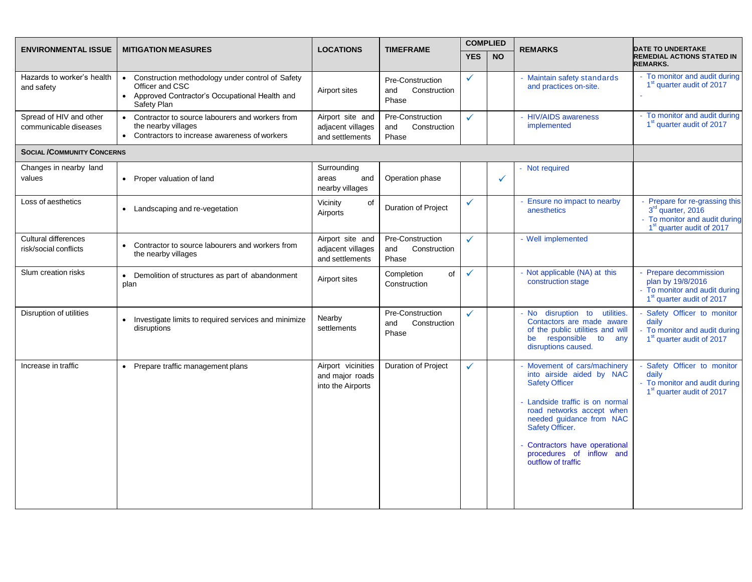| <b>ENVIRONMENTAL ISSUE</b>                       | <b>MITIGATION MEASURES</b>                                                                                                              | <b>LOCATIONS</b>                                           | <b>TIMEFRAME</b>                                 | <b>COMPLIED</b> |           | <b>REMARKS</b>                                                                                                                                                                                                                                                                  | <b>DATE TO UNDERTAKE</b>                                                                                                    |  |
|--------------------------------------------------|-----------------------------------------------------------------------------------------------------------------------------------------|------------------------------------------------------------|--------------------------------------------------|-----------------|-----------|---------------------------------------------------------------------------------------------------------------------------------------------------------------------------------------------------------------------------------------------------------------------------------|-----------------------------------------------------------------------------------------------------------------------------|--|
|                                                  |                                                                                                                                         |                                                            |                                                  | <b>YES</b>      | <b>NO</b> |                                                                                                                                                                                                                                                                                 | <b>REMEDIAL ACTIONS STATED IN</b><br><b>REMARKS.</b>                                                                        |  |
| Hazards to worker's health<br>and safety         | • Construction methodology under control of Safety<br>Officer and CSC<br>• Approved Contractor's Occupational Health and<br>Safety Plan | Airport sites                                              | Pre-Construction<br>Construction<br>and<br>Phase | ✓               |           | - Maintain safety standards<br>and practices on-site.                                                                                                                                                                                                                           | - To monitor and audit during<br>1 <sup>st</sup> quarter audit of 2017                                                      |  |
| Spread of HIV and other<br>communicable diseases | • Contractor to source labourers and workers from<br>the nearby villages<br>• Contractors to increase awareness of workers              | Airport site and<br>adjacent villages<br>and settlements   | Pre-Construction<br>Construction<br>and<br>Phase | ✓               |           | - HIV/AIDS awareness<br>implemented                                                                                                                                                                                                                                             | - To monitor and audit during<br>1 <sup>st</sup> quarter audit of 2017                                                      |  |
| <b>SOCIAL /COMMUNITY CONCERNS</b>                |                                                                                                                                         |                                                            |                                                  |                 |           |                                                                                                                                                                                                                                                                                 |                                                                                                                             |  |
| Changes in nearby land<br>values                 | • Proper valuation of land                                                                                                              | Surrounding<br>areas<br>and<br>nearby villages             | Operation phase                                  |                 | ✓         | - Not required                                                                                                                                                                                                                                                                  |                                                                                                                             |  |
| Loss of aesthetics                               | • Landscaping and re-vegetation                                                                                                         | of<br>Vicinity<br>Airports                                 | Duration of Project                              | ✓               |           | - Ensure no impact to nearby<br>anesthetics                                                                                                                                                                                                                                     | Prepare for re-grassing this<br>3rd quarter, 2016<br>- To monitor and audit during<br>1 <sup>st</sup> quarter audit of 2017 |  |
| Cultural differences<br>risk/social conflicts    | Contractor to source labourers and workers from<br>the nearby villages                                                                  | Airport site and<br>adjacent villages<br>and settlements   | Pre-Construction<br>and<br>Construction<br>Phase | ✓               |           | - Well implemented                                                                                                                                                                                                                                                              |                                                                                                                             |  |
| Slum creation risks                              | • Demolition of structures as part of abandonment<br>plan                                                                               | Airport sites                                              | of<br>Completion<br>Construction                 | ✓               |           | - Not applicable (NA) at this<br>construction stage                                                                                                                                                                                                                             | - Prepare decommission<br>plan by 19/8/2016<br>- To monitor and audit during<br>1 <sup>st</sup> quarter audit of 2017       |  |
| Disruption of utilities                          | • Investigate limits to required services and minimize<br>disruptions                                                                   | Nearby<br>settlements                                      | Pre-Construction<br>Construction<br>and<br>Phase | ✓               |           | - No disruption to<br>utilities.<br>Contactors are made aware<br>of the public utilities and will<br>be responsible<br>to<br>any<br>disruptions caused.                                                                                                                         | Safety Officer to monitor<br>daily<br>- To monitor and audit during<br>1 <sup>st</sup> quarter audit of 2017                |  |
| Increase in traffic                              | • Prepare traffic management plans                                                                                                      | Airport vicinities<br>and major roads<br>into the Airports | <b>Duration of Project</b>                       | ✓               |           | Movement of cars/machinery<br>into airside aided by NAC<br><b>Safety Officer</b><br>Landside traffic is on normal<br>road networks accept when<br>needed guidance from NAC<br>Safety Officer.<br>Contractors have operational<br>procedures of inflow and<br>outflow of traffic | Safety Officer to monitor<br>daily<br>- To monitor and audit during<br>1 <sup>st</sup> quarter audit of 2017                |  |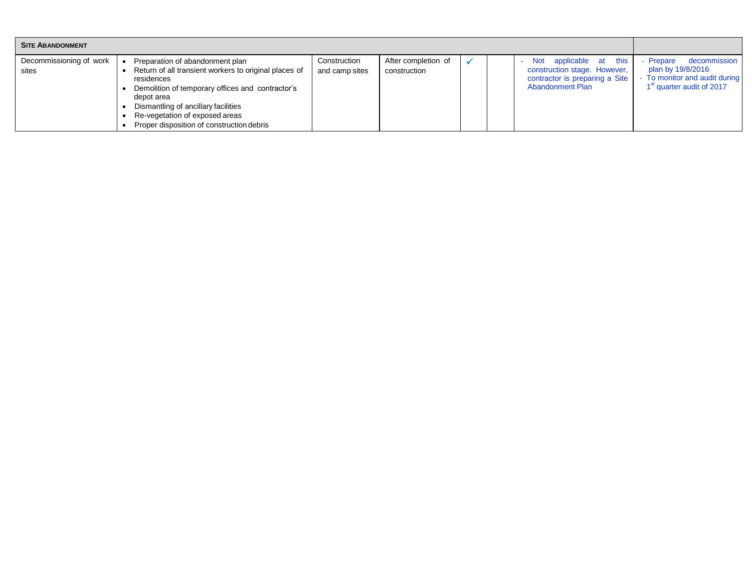| <b>SITE ABANDONMENT</b>          |                                                                                                                                                                                                                                                                                                |                                |                                     |  |                                                                                                                        |                                                                                                                        |
|----------------------------------|------------------------------------------------------------------------------------------------------------------------------------------------------------------------------------------------------------------------------------------------------------------------------------------------|--------------------------------|-------------------------------------|--|------------------------------------------------------------------------------------------------------------------------|------------------------------------------------------------------------------------------------------------------------|
| Decommissioning of work<br>sites | Preparation of abandonment plan<br>Return of all transient workers to original places of<br>residences<br>Demolition of temporary offices and contractor's<br>depot area<br>Dismantling of ancillary facilities<br>Re-vegetation of exposed areas<br>Proper disposition of construction debris | Construction<br>and camp sites | After completion of<br>construction |  | this<br>Not applicable at<br>construction stage. However,<br>contractor is preparing a Site<br><b>Abandonment Plan</b> | decommission<br>- Prepare<br>plan by 19/8/2016<br>To monitor and audit during<br>1 <sup>st</sup> quarter audit of 2017 |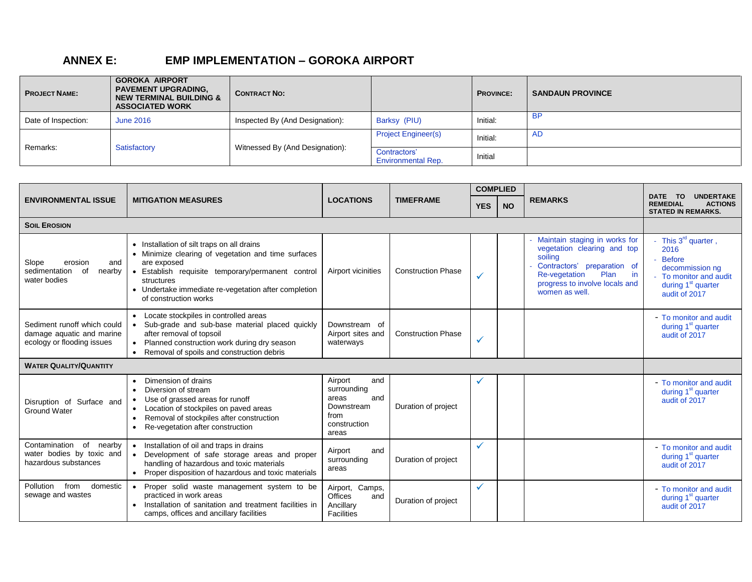## **ANNEX E: EMP IMPLEMENTATION – GOROKA AIRPORT**

| <b>PROJECT NAME:</b> | <b>GOROKA AIRPORT</b><br><b>PAVEMENT UPGRADING,</b><br><b>NEW TERMINAL BUILDING &amp;</b><br><b>ASSOCIATED WORK</b> | <b>CONTRACT NO:</b>             |                                           | <b>PROVINCE:</b> | <b>SANDAUN PROVINCE</b> |
|----------------------|---------------------------------------------------------------------------------------------------------------------|---------------------------------|-------------------------------------------|------------------|-------------------------|
| Date of Inspection:  | <b>June 2016</b>                                                                                                    | Inspected By (And Designation): | Barksy (PIU)                              | Initial:         | <b>BP</b>               |
|                      |                                                                                                                     |                                 | <b>Project Engineer(s)</b>                | Initial:         | - AD                    |
| Remarks:             | Satisfactory                                                                                                        | Witnessed By (And Designation): | Contractors'<br><b>Environmental Rep.</b> | Initial          |                         |

<span id="page-34-0"></span>

|                                                                                        |                                                                                                                                                                                                                                                                      |                                                                                              | <b>COMPLIED</b>           |              |           | <b>UNDERTAKE</b>                                                                                                                                                                                  |                                                                                                                                                 |
|----------------------------------------------------------------------------------------|----------------------------------------------------------------------------------------------------------------------------------------------------------------------------------------------------------------------------------------------------------------------|----------------------------------------------------------------------------------------------|---------------------------|--------------|-----------|---------------------------------------------------------------------------------------------------------------------------------------------------------------------------------------------------|-------------------------------------------------------------------------------------------------------------------------------------------------|
| <b>ENVIRONMENTAL ISSUE</b>                                                             | <b>MITIGATION MEASURES</b>                                                                                                                                                                                                                                           | <b>LOCATIONS</b>                                                                             | <b>TIMEFRAME</b>          | <b>YES</b>   | <b>NO</b> | <b>REMARKS</b>                                                                                                                                                                                    | TO.<br><b>DATE</b><br><b>REMEDIAL</b><br><b>ACTIONS</b><br><b>STATED IN REMARKS.</b>                                                            |
| <b>SOIL EROSION</b>                                                                    |                                                                                                                                                                                                                                                                      |                                                                                              |                           |              |           |                                                                                                                                                                                                   |                                                                                                                                                 |
| Slope<br>erosion<br>and<br>sedimentation of<br>nearby<br>water bodies                  | • Installation of silt traps on all drains<br>• Minimize clearing of vegetation and time surfaces<br>are exposed<br>· Establish requisite temporary/permanent control<br>structures<br>• Undertake immediate re-vegetation after completion<br>of construction works | Airport vicinities                                                                           | <b>Construction Phase</b> |              |           | Maintain staging in works for<br>vegetation clearing and top<br>soiling<br>Contractors' preparation of<br><b>Re-vegetation</b><br>Plan<br>in.<br>progress to involve locals and<br>women as well. | This $3^{rd}$ quarter,<br>2016<br><b>Before</b><br>decommission ng<br>- To monitor and audit<br>during 1 <sup>st</sup> quarter<br>audit of 2017 |
| Sediment runoff which could<br>damage aquatic and marine<br>ecology or flooding issues | • Locate stockpiles in controlled areas<br>Sub-grade and sub-base material placed quickly<br>after removal of topsoil<br>• Planned construction work during dry season<br>Removal of spoils and construction debris<br>$\bullet$                                     | Downstream of<br>Airport sites and<br>waterways                                              | <b>Construction Phase</b> | ✓            |           |                                                                                                                                                                                                   | - To monitor and audit<br>during 1 <sup>st</sup> quarter<br>audit of 2017                                                                       |
| <b>WATER QUALITY/QUANTITY</b>                                                          |                                                                                                                                                                                                                                                                      |                                                                                              |                           |              |           |                                                                                                                                                                                                   |                                                                                                                                                 |
| Disruption of Surface and<br><b>Ground Water</b>                                       | Dimension of drains<br>Diversion of stream<br>$\bullet$<br>Use of grassed areas for runoff<br>Location of stockpiles on paved areas<br>Removal of stockpiles after construction<br>Re-vegetation after construction                                                  | Airport<br>and<br>surrounding<br>areas<br>and<br>Downstream<br>from<br>construction<br>areas | Duration of project       |              |           |                                                                                                                                                                                                   | - To monitor and audit<br>during 1 <sup>st</sup> quarter<br>audit of 2017                                                                       |
| Contamination of nearby<br>water bodies by toxic and<br>hazardous substances           | • Installation of oil and traps in drains<br>• Development of safe storage areas and proper<br>handling of hazardous and toxic materials<br>• Proper disposition of hazardous and toxic materials                                                                    | Airport<br>and<br>surrounding<br>areas                                                       | Duration of project       | $\checkmark$ |           |                                                                                                                                                                                                   | - To monitor and audit<br>during $1st$ quarter<br>audit of 2017                                                                                 |
| domestic<br>Pollution<br>from<br>sewage and wastes                                     | Proper solid waste management system to be<br>$\bullet$<br>practiced in work areas<br>Installation of sanitation and treatment facilities in<br>camps, offices and ancillary facilities                                                                              | Airport, Camps,<br><b>Offices</b><br>and<br>Ancillary<br><b>Facilities</b>                   | Duration of project       | $\checkmark$ |           |                                                                                                                                                                                                   | - To monitor and audit<br>during 1 <sup>st</sup> quarter<br>audit of 2017                                                                       |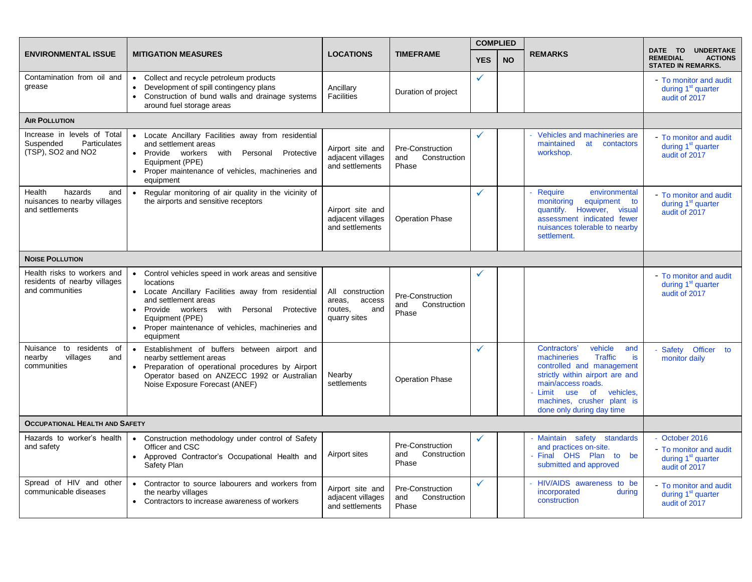|                                                                                       |                                                                                                                                                                                                                                                                                        |                                                                        |                                                  | <b>COMPLIED</b> |           |                                                                                                                                                                                                                                                          |                                                                                               |
|---------------------------------------------------------------------------------------|----------------------------------------------------------------------------------------------------------------------------------------------------------------------------------------------------------------------------------------------------------------------------------------|------------------------------------------------------------------------|--------------------------------------------------|-----------------|-----------|----------------------------------------------------------------------------------------------------------------------------------------------------------------------------------------------------------------------------------------------------------|-----------------------------------------------------------------------------------------------|
| <b>ENVIRONMENTAL ISSUE</b>                                                            | <b>MITIGATION MEASURES</b>                                                                                                                                                                                                                                                             | <b>LOCATIONS</b>                                                       | <b>TIMEFRAME</b>                                 | <b>YES</b>      | <b>NO</b> | <b>REMARKS</b>                                                                                                                                                                                                                                           | <b>UNDERTAKE</b><br>DATE TO<br><b>REMEDIAL</b><br><b>ACTIONS</b><br><b>STATED IN REMARKS.</b> |
| Contamination from oil and<br>grease                                                  | • Collect and recycle petroleum products<br>Development of spill contingency plans<br>• Construction of bund walls and drainage systems<br>around fuel storage areas                                                                                                                   | Ancillary<br><b>Facilities</b>                                         | Duration of project                              | $\checkmark$    |           |                                                                                                                                                                                                                                                          | - To monitor and audit<br>during 1 <sup>st</sup> quarter<br>audit of 2017                     |
| <b>AIR POLLUTION</b>                                                                  |                                                                                                                                                                                                                                                                                        |                                                                        |                                                  |                 |           |                                                                                                                                                                                                                                                          |                                                                                               |
| Increase in levels of Total<br><b>Particulates</b><br>Suspended<br>(TSP), SO2 and NO2 | • Locate Ancillary Facilities away from residential<br>and settlement areas<br>• Provide workers with Personal<br>Protective<br>Equipment (PPE)<br>Proper maintenance of vehicles, machineries and<br>equipment                                                                        | Airport site and<br>adjacent villages<br>and settlements               | Pre-Construction<br>and<br>Construction<br>Phase | ✓               |           | Vehicles and machineries are<br>maintained<br>at<br>contactors<br>workshop.                                                                                                                                                                              | - To monitor and audit<br>during 1 <sup>st</sup> quarter<br>audit of 2017                     |
| hazards<br>Health<br>and<br>nuisances to nearby villages<br>and settlements           | Regular monitoring of air quality in the vicinity of<br>$\bullet$<br>the airports and sensitive receptors                                                                                                                                                                              | Airport site and<br>adjacent villages<br>and settlements               | <b>Operation Phase</b>                           | ✓               |           | Require<br>environmental<br>monitoring<br>equipment to<br>quantify. However, visual<br>assessment indicated fewer<br>nuisances tolerable to nearby<br>settlement.                                                                                        | - To monitor and audit<br>during 1 <sup>st</sup> quarter<br>audit of 2017                     |
| <b>NOISE POLLUTION</b>                                                                |                                                                                                                                                                                                                                                                                        |                                                                        |                                                  |                 |           |                                                                                                                                                                                                                                                          |                                                                                               |
| Health risks to workers and<br>residents of nearby villages<br>and communities        | • Control vehicles speed in work areas and sensitive<br>locations<br>• Locate Ancillary Facilities away from residential<br>and settlement areas<br>• Provide workers with Personal<br>Protective<br>Equipment (PPE)<br>• Proper maintenance of vehicles, machineries and<br>equipment | All construction<br>areas,<br>access<br>routes.<br>and<br>quarry sites | Pre-Construction<br>and<br>Construction<br>Phase | ✓               |           |                                                                                                                                                                                                                                                          | - To monitor and audit<br>during 1 <sup>st</sup> quarter<br>audit of 2017                     |
| Nuisance to residents of<br>nearby<br>villages<br>and<br>communities                  | Establishment of buffers between airport and<br>$\bullet$<br>nearby settlement areas<br>• Preparation of operational procedures by Airport<br>Operator based on ANZECC 1992 or Australian<br>Noise Exposure Forecast (ANEF)                                                            | Nearby<br>settlements                                                  | <b>Operation Phase</b>                           | $\checkmark$    |           | Contractors'<br>vehicle<br>and<br><b>Traffic</b><br>machineries<br>is<br>controlled and management<br>strictly within airport are and<br>main/access roads.<br>- Limit use<br>vehicles,<br>of<br>machines, crusher plant is<br>done only during day time | Safety Officer to<br>monitor daily                                                            |
| <b>OCCUPATIONAL HEALTH AND SAFETY</b>                                                 |                                                                                                                                                                                                                                                                                        |                                                                        |                                                  |                 |           |                                                                                                                                                                                                                                                          |                                                                                               |
| Hazards to worker's health<br>and safety                                              | Construction methodology under control of Safety<br>$\bullet$<br>Officer and CSC<br>Approved Contractor's Occupational Health and<br>Safety Plan                                                                                                                                       | Airport sites                                                          | Pre-Construction<br>Construction<br>and<br>Phase | ✓               |           | Maintain safety standards<br>and practices on-site.<br>Final OHS Plan to be<br>submitted and approved                                                                                                                                                    | - October 2016<br>- To monitor and audit<br>during 1 <sup>st</sup> quarter<br>audit of 2017   |
| Spread of HIV and other<br>communicable diseases                                      | Contractor to source labourers and workers from<br>$\bullet$<br>the nearby villages<br>• Contractors to increase awareness of workers                                                                                                                                                  | Airport site and<br>adjacent villages<br>and settlements               | Pre-Construction<br>and<br>Construction<br>Phase | ✓               |           | HIV/AIDS awareness to be<br>incorporated<br>during<br>construction                                                                                                                                                                                       | - To monitor and audit<br>during 1 <sup>st</sup> quarter<br>audit of 2017                     |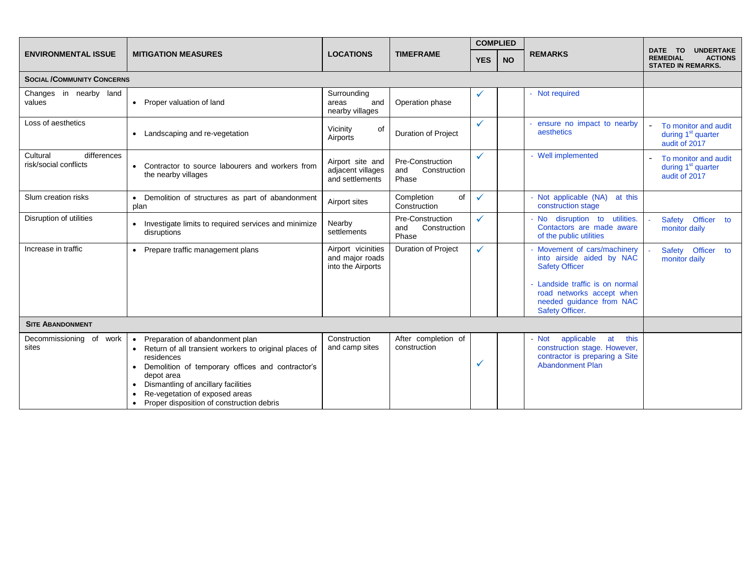|                                                  |                                                                                                                                                                                                                                                                                                             |                                                            |                                                  | <b>COMPLIED</b> |           |                                                                                                                                                                                               |                                                                                               |  |
|--------------------------------------------------|-------------------------------------------------------------------------------------------------------------------------------------------------------------------------------------------------------------------------------------------------------------------------------------------------------------|------------------------------------------------------------|--------------------------------------------------|-----------------|-----------|-----------------------------------------------------------------------------------------------------------------------------------------------------------------------------------------------|-----------------------------------------------------------------------------------------------|--|
| <b>ENVIRONMENTAL ISSUE</b>                       | <b>MITIGATION MEASURES</b>                                                                                                                                                                                                                                                                                  | <b>LOCATIONS</b>                                           | <b>TIMEFRAME</b>                                 | <b>YES</b>      | <b>NO</b> | <b>REMARKS</b>                                                                                                                                                                                | DATE TO<br><b>UNDERTAKE</b><br><b>ACTIONS</b><br><b>REMEDIAL</b><br><b>STATED IN REMARKS.</b> |  |
| <b>SOCIAL /COMMUNITY CONCERNS</b>                |                                                                                                                                                                                                                                                                                                             |                                                            |                                                  |                 |           |                                                                                                                                                                                               |                                                                                               |  |
| Changes in nearby land<br>values                 | • Proper valuation of land                                                                                                                                                                                                                                                                                  | Surrounding<br>areas<br>and<br>nearby villages             | Operation phase                                  | $\checkmark$    |           | Not required                                                                                                                                                                                  |                                                                                               |  |
| Loss of aesthetics                               | • Landscaping and re-vegetation                                                                                                                                                                                                                                                                             | Vicinity<br>of<br>Airports                                 | <b>Duration of Project</b>                       | $\checkmark$    |           | ensure no impact to nearby<br>aesthetics                                                                                                                                                      | To monitor and audit<br>during 1 <sup>st</sup> quarter<br>audit of 2017                       |  |
| differences<br>Cultural<br>risk/social conflicts | Contractor to source labourers and workers from<br>the nearby villages                                                                                                                                                                                                                                      | Airport site and<br>adjacent villages<br>and settlements   | Pre-Construction<br>Construction<br>and<br>Phase | $\checkmark$    |           | - Well implemented                                                                                                                                                                            | To monitor and audit<br>during 1 <sup>st</sup> quarter<br>audit of 2017                       |  |
| Slum creation risks                              | Demolition of structures as part of abandonment<br>plan                                                                                                                                                                                                                                                     | Airport sites                                              | Completion<br>of<br>Construction                 | $\checkmark$    |           | Not applicable (NA)<br>at this<br>construction stage                                                                                                                                          |                                                                                               |  |
| Disruption of utilities                          | • Investigate limits to required services and minimize<br>disruptions                                                                                                                                                                                                                                       | Nearby<br>settlements                                      | Pre-Construction<br>Construction<br>and<br>Phase | ✓               |           | No disruption to<br>utilities.<br>Contactors are made aware<br>of the public utilities                                                                                                        | Safety Officer to<br>monitor daily                                                            |  |
| Increase in traffic                              | • Prepare traffic management plans                                                                                                                                                                                                                                                                          | Airport vicinities<br>and major roads<br>into the Airports | Duration of Project                              | $\checkmark$    |           | Movement of cars/machinery<br>into airside aided by NAC<br><b>Safety Officer</b><br>Landside traffic is on normal<br>road networks accept when<br>needed guidance from NAC<br>Safety Officer. | Safety Officer to<br>monitor daily                                                            |  |
| <b>SITE ABANDONMENT</b>                          |                                                                                                                                                                                                                                                                                                             |                                                            |                                                  |                 |           |                                                                                                                                                                                               |                                                                                               |  |
| Decommissioning of work<br>sites                 | Preparation of abandonment plan<br>$\bullet$<br>Return of all transient workers to original places of<br>residences<br>Demolition of temporary offices and contractor's<br>depot area<br>Dismantling of ancillary facilities<br>Re-vegetation of exposed areas<br>Proper disposition of construction debris | Construction<br>and camp sites                             | After completion of<br>construction              | ✓               |           | this<br>applicable<br>at<br>Not<br>construction stage. However,<br>contractor is preparing a Site<br><b>Abandonment Plan</b>                                                                  |                                                                                               |  |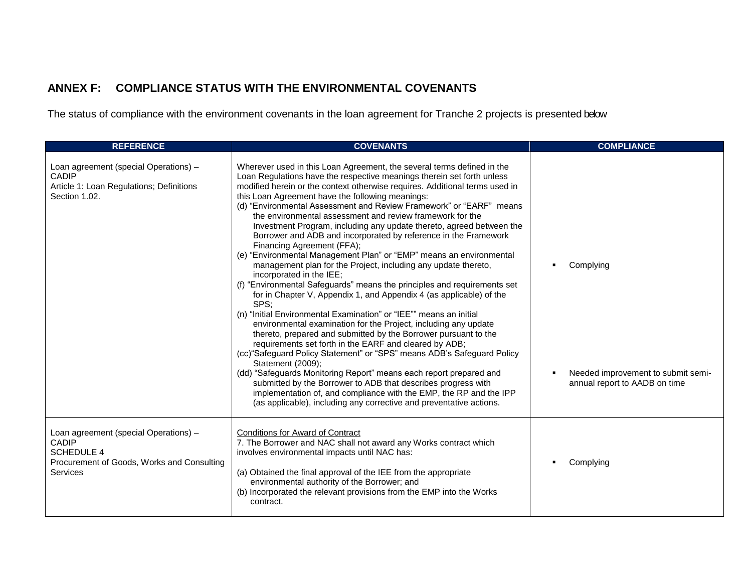## **ANNEX F: COMPLIANCE STATUS WITH THE ENVIRONMENTAL COVENANTS**

The status of compliance with the environment covenants in the loan agreement for Tranche 2 projects is presented below

<span id="page-37-0"></span>

| <b>REFERENCE</b>                                                                                                                     | <b>COVENANTS</b>                                                                                                                                                                                                                                                                                                                                                                                                                                                                                                                                                                                                                                                                                                                                                                                                                                                                                                                                                                                                                                                                                                                                                                                                                                                                                                                                                                                                                                                                                                                                                                           | <b>COMPLIANCE</b>                                                                |
|--------------------------------------------------------------------------------------------------------------------------------------|--------------------------------------------------------------------------------------------------------------------------------------------------------------------------------------------------------------------------------------------------------------------------------------------------------------------------------------------------------------------------------------------------------------------------------------------------------------------------------------------------------------------------------------------------------------------------------------------------------------------------------------------------------------------------------------------------------------------------------------------------------------------------------------------------------------------------------------------------------------------------------------------------------------------------------------------------------------------------------------------------------------------------------------------------------------------------------------------------------------------------------------------------------------------------------------------------------------------------------------------------------------------------------------------------------------------------------------------------------------------------------------------------------------------------------------------------------------------------------------------------------------------------------------------------------------------------------------------|----------------------------------------------------------------------------------|
| Loan agreement (special Operations) -<br><b>CADIP</b><br>Article 1: Loan Regulations; Definitions<br>Section 1.02.                   | Wherever used in this Loan Agreement, the several terms defined in the<br>Loan Regulations have the respective meanings therein set forth unless<br>modified herein or the context otherwise requires. Additional terms used in<br>this Loan Agreement have the following meanings:<br>(d) "Environmental Assessment and Review Framework" or "EARF" means<br>the environmental assessment and review framework for the<br>Investment Program, including any update thereto, agreed between the<br>Borrower and ADB and incorporated by reference in the Framework<br>Financing Agreement (FFA);<br>(e) "Environmental Management Plan" or "EMP" means an environmental<br>management plan for the Project, including any update thereto,<br>incorporated in the IEE;<br>(f) "Environmental Safeguards" means the principles and requirements set<br>for in Chapter V, Appendix 1, and Appendix 4 (as applicable) of the<br>SPS;<br>(n) "Initial Environmental Examination" or "IEE"" means an initial<br>environmental examination for the Project, including any update<br>thereto, prepared and submitted by the Borrower pursuant to the<br>requirements set forth in the EARF and cleared by ADB;<br>(cc) "Safeguard Policy Statement" or "SPS" means ADB's Safeguard Policy<br>Statement (2009);<br>(dd) "Safeguards Monitoring Report" means each report prepared and<br>submitted by the Borrower to ADB that describes progress with<br>implementation of, and compliance with the EMP, the RP and the IPP<br>(as applicable), including any corrective and preventative actions. | Complying<br>Needed improvement to submit semi-<br>annual report to AADB on time |
| Loan agreement (special Operations) -<br>CADIP<br><b>SCHEDULE 4</b><br>Procurement of Goods, Works and Consulting<br><b>Services</b> | <b>Conditions for Award of Contract</b><br>7. The Borrower and NAC shall not award any Works contract which<br>involves environmental impacts until NAC has:<br>(a) Obtained the final approval of the IEE from the appropriate<br>environmental authority of the Borrower; and<br>(b) Incorporated the relevant provisions from the EMP into the Works<br>contract.                                                                                                                                                                                                                                                                                                                                                                                                                                                                                                                                                                                                                                                                                                                                                                                                                                                                                                                                                                                                                                                                                                                                                                                                                       | Complying                                                                        |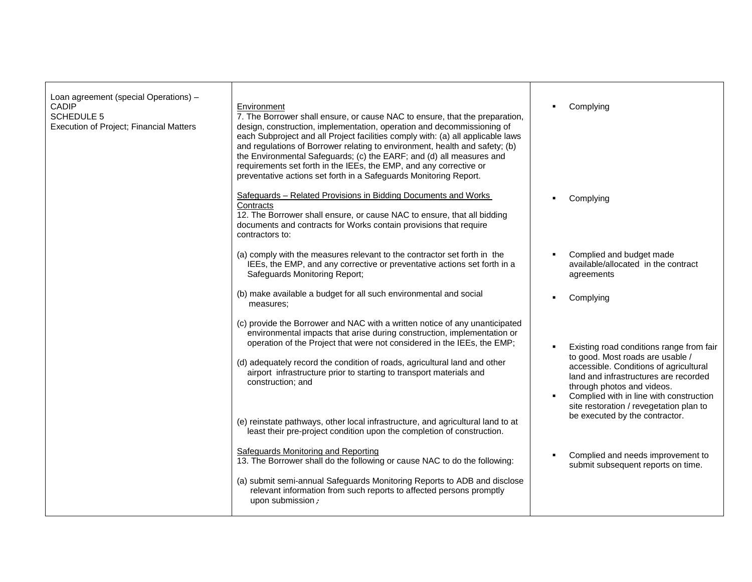| Loan agreement (special Operations) -<br><b>CADIP</b><br><b>SCHEDULE 5</b><br>Execution of Project; Financial Matters | Environment<br>7. The Borrower shall ensure, or cause NAC to ensure, that the preparation,<br>design, construction, implementation, operation and decommissioning of<br>each Subproject and all Project facilities comply with: (a) all applicable laws<br>and regulations of Borrower relating to environment, health and safety; (b)<br>the Environmental Safeguards; (c) the EARF; and (d) all measures and<br>requirements set forth in the IEEs, the EMP, and any corrective or<br>preventative actions set forth in a Safeguards Monitoring Report. | Complying                                                                                                                                                                                                                                                                           |
|-----------------------------------------------------------------------------------------------------------------------|-----------------------------------------------------------------------------------------------------------------------------------------------------------------------------------------------------------------------------------------------------------------------------------------------------------------------------------------------------------------------------------------------------------------------------------------------------------------------------------------------------------------------------------------------------------|-------------------------------------------------------------------------------------------------------------------------------------------------------------------------------------------------------------------------------------------------------------------------------------|
|                                                                                                                       | Safeguards - Related Provisions in Bidding Documents and Works<br>Contracts<br>12. The Borrower shall ensure, or cause NAC to ensure, that all bidding<br>documents and contracts for Works contain provisions that require<br>contractors to:                                                                                                                                                                                                                                                                                                            | Complying                                                                                                                                                                                                                                                                           |
|                                                                                                                       | (a) comply with the measures relevant to the contractor set forth in the<br>IEEs, the EMP, and any corrective or preventative actions set forth in a<br>Safeguards Monitoring Report;                                                                                                                                                                                                                                                                                                                                                                     | Complied and budget made<br>$\blacksquare$<br>available/allocated in the contract<br>agreements                                                                                                                                                                                     |
|                                                                                                                       | (b) make available a budget for all such environmental and social<br>measures;                                                                                                                                                                                                                                                                                                                                                                                                                                                                            | Complying                                                                                                                                                                                                                                                                           |
|                                                                                                                       | (c) provide the Borrower and NAC with a written notice of any unanticipated<br>environmental impacts that arise during construction, implementation or<br>operation of the Project that were not considered in the IEEs, the EMP;<br>(d) adequately record the condition of roads, agricultural land and other<br>airport infrastructure prior to starting to transport materials and<br>construction; and                                                                                                                                                | Existing road conditions range from fair<br>to good. Most roads are usable /<br>accessible. Conditions of agricultural<br>land and infrastructures are recorded<br>through photos and videos.<br>Complied with in line with construction<br>site restoration / revegetation plan to |
|                                                                                                                       | (e) reinstate pathways, other local infrastructure, and agricultural land to at<br>least their pre-project condition upon the completion of construction.                                                                                                                                                                                                                                                                                                                                                                                                 | be executed by the contractor.                                                                                                                                                                                                                                                      |
|                                                                                                                       | <b>Safeguards Monitoring and Reporting</b><br>13. The Borrower shall do the following or cause NAC to do the following:                                                                                                                                                                                                                                                                                                                                                                                                                                   | Complied and needs improvement to<br>$\blacksquare$<br>submit subsequent reports on time.                                                                                                                                                                                           |
|                                                                                                                       | (a) submit semi-annual Safeguards Monitoring Reports to ADB and disclose<br>relevant information from such reports to affected persons promptly<br>upon submission ;                                                                                                                                                                                                                                                                                                                                                                                      |                                                                                                                                                                                                                                                                                     |